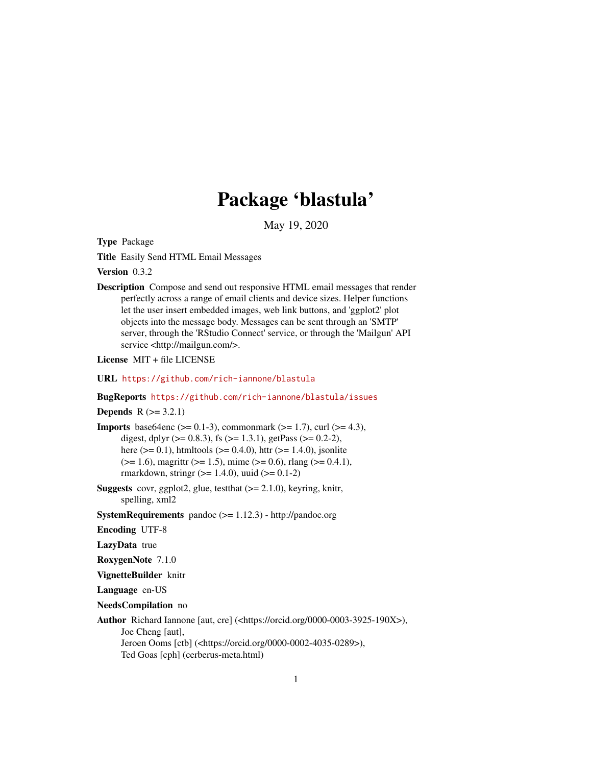# Package 'blastula'

May 19, 2020

<span id="page-0-0"></span>Type Package

Title Easily Send HTML Email Messages

Version 0.3.2

Description Compose and send out responsive HTML email messages that render perfectly across a range of email clients and device sizes. Helper functions let the user insert embedded images, web link buttons, and 'ggplot2' plot objects into the message body. Messages can be sent through an 'SMTP' server, through the 'RStudio Connect' service, or through the 'Mailgun' API service <http://mailgun.com/>.

License MIT + file LICENSE

URL <https://github.com/rich-iannone/blastula>

#### BugReports <https://github.com/rich-iannone/blastula/issues>

**Depends**  $R (= 3.2.1)$ 

**Imports** base64enc ( $> = 0.1-3$ ), commonmark ( $> = 1.7$ ), curl ( $> = 4.3$ ), digest, dplyr ( $> = 0.8.3$ ), fs ( $> = 1.3.1$ ), getPass ( $> = 0.2-2$ ), here ( $> = 0.1$ ), htmltools ( $> = 0.4.0$ ), httr ( $> = 1.4.0$ ), jsonlite  $(>= 1.6)$ , magrittr  $(>= 1.5)$ , mime  $(>= 0.6)$ , rlang  $(>= 0.4.1)$ , rmarkdown, stringr ( $>= 1.4.0$ ), uuid ( $>= 0.1-2$ )

- **Suggests** covr, ggplot2, glue, test that  $(>= 2.1.0)$ , keyring, knitr, spelling, xml2
- SystemRequirements pandoc  $(>= 1.12.3)$  http://pandoc.org

Encoding UTF-8

LazyData true

RoxygenNote 7.1.0

VignetteBuilder knitr

Language en-US

NeedsCompilation no

Author Richard Iannone [aut, cre] (<https://orcid.org/0000-0003-3925-190X>), Joe Cheng [aut], Jeroen Ooms [ctb] (<https://orcid.org/0000-0002-4035-0289>), Ted Goas [cph] (cerberus-meta.html)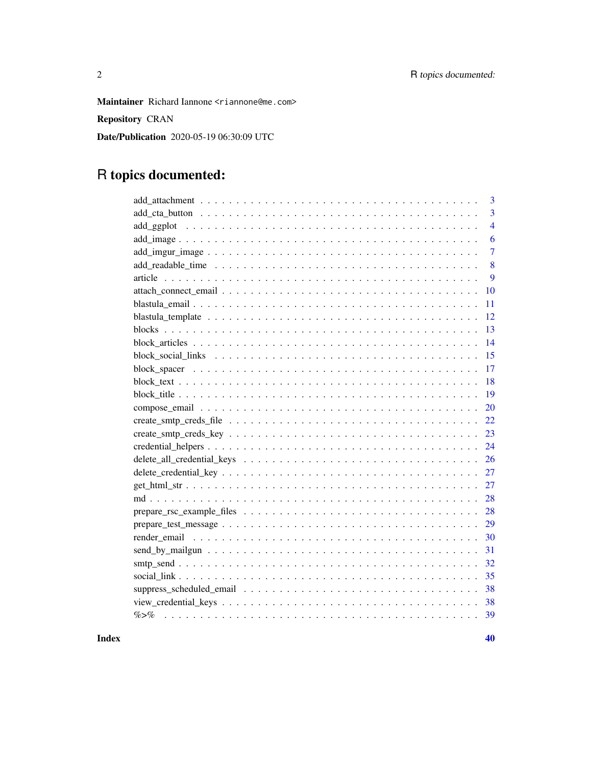Maintainer Richard Iannone <riannone@me.com>

Repository CRAN

Date/Publication 2020-05-19 06:30:09 UTC

# R topics documented:

| 3               |
|-----------------|
| 3               |
| $\overline{4}$  |
| 6               |
| $\overline{7}$  |
| 8               |
| 9               |
| 10              |
| 11              |
| 12              |
| 13              |
| 14              |
| 15              |
| 17              |
| 18              |
| 19              |
| 20              |
| 22              |
| 23              |
| 24              |
| 26              |
| 27              |
| 27              |
| 28              |
| 28              |
| 29              |
| 30              |
| 31              |
| 32              |
| 35              |
| 38              |
| 38              |
| $\% > \%$<br>39 |
|                 |

 $\blacksquare$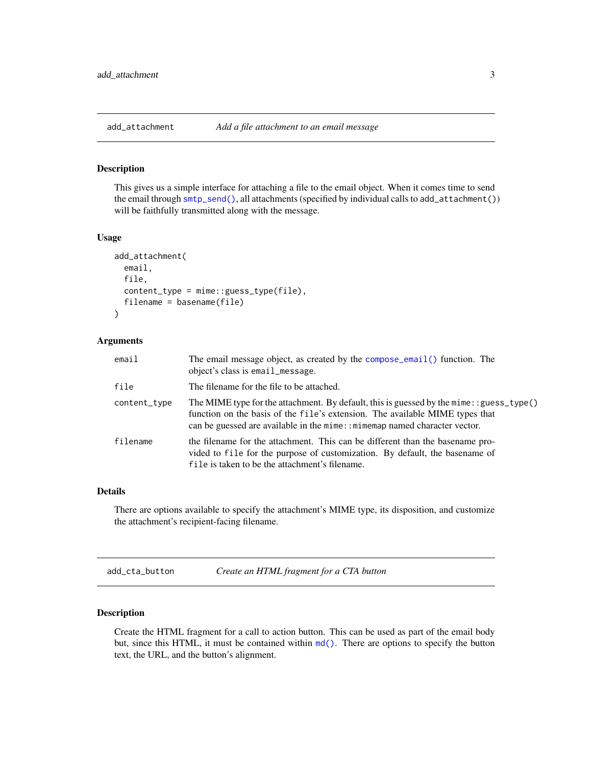<span id="page-2-1"></span><span id="page-2-0"></span>

#### Description

This gives us a simple interface for attaching a file to the email object. When it comes time to send the email through [smtp\\_send\(\)](#page-31-1), all attachments (specified by individual calls to add\_attachment()) will be faithfully transmitted along with the message.

#### Usage

```
add_attachment(
  email,
  file,
  content_type = mime::guess_type(file),
  filename = basename(file)
)
```
# Arguments

| email        | The email message object, as created by the compose_email() function. The<br>object's class is email_message.                                                                                                                                            |
|--------------|----------------------------------------------------------------------------------------------------------------------------------------------------------------------------------------------------------------------------------------------------------|
| file         | The filename for the file to be attached.                                                                                                                                                                                                                |
| content_type | The MIME type for the attachment. By default, this is guessed by the mime: : guess_type()<br>function on the basis of the file's extension. The available MIME types that<br>can be guessed are available in the mime: : mimemap named character vector. |
| filename     | the filename for the attachment. This can be different than the base name pro-<br>vided to file for the purpose of customization. By default, the basename of<br>file is taken to be the attachment's filename.                                          |

#### Details

There are options available to specify the attachment's MIME type, its disposition, and customize the attachment's recipient-facing filename.

add\_cta\_button *Create an HTML fragment for a CTA button*

#### Description

Create the HTML fragment for a call to action button. This can be used as part of the email body but, since this HTML, it must be contained within [md\(\)](#page-27-1). There are options to specify the button text, the URL, and the button's alignment.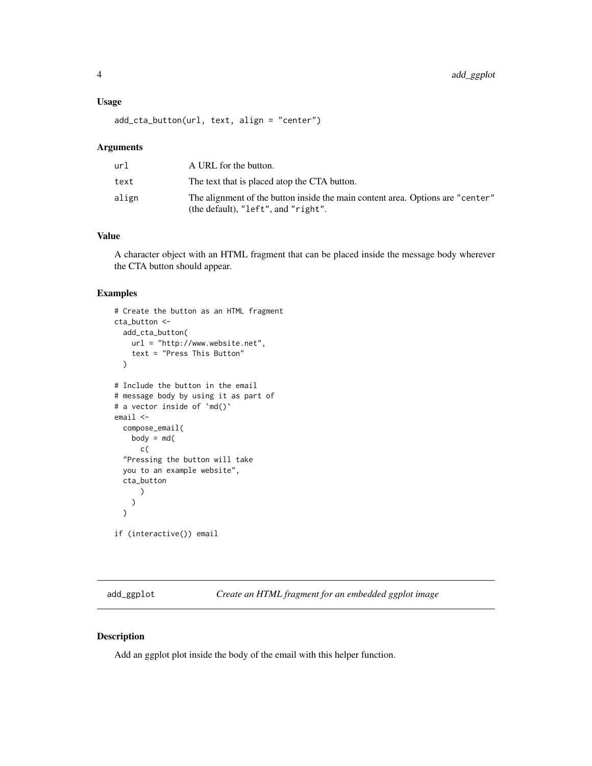#### <span id="page-3-0"></span>Usage

add\_cta\_button(url, text, align = "center")

#### Arguments

| url   | A URL for the button.                                                                                                 |
|-------|-----------------------------------------------------------------------------------------------------------------------|
| text  | The text that is placed atop the CTA button.                                                                          |
| align | The alignment of the button inside the main content area. Options are "center"<br>(the default), "left", and "right". |

#### Value

A character object with an HTML fragment that can be placed inside the message body wherever the CTA button should appear.

### Examples

```
# Create the button as an HTML fragment
cta_button <-
  add_cta_button(
    url = "http://www.website.net",
    text = "Press This Button"
  )
# Include the button in the email
# message body by using it as part of
# a vector inside of `md()`
email <-
  compose_email(
    body = md(c(
  "Pressing the button will take
  you to an example website",
  cta_button
      )
    )
  \mathcal{L}if (interactive()) email
```
add\_ggplot *Create an HTML fragment for an embedded ggplot image*

## Description

Add an ggplot plot inside the body of the email with this helper function.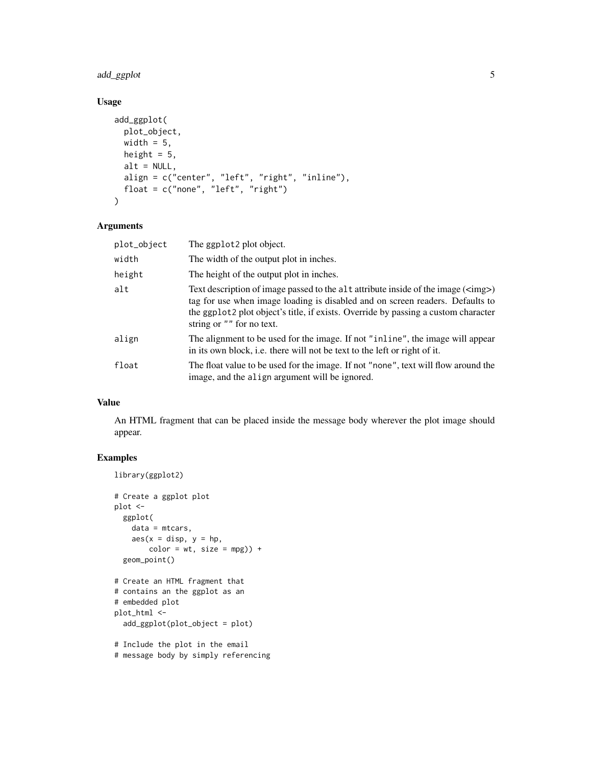## add\_ggplot 5

# Usage

```
add_ggplot(
 plot_object,
 width = 5,
 height = 5,
 alt = NULL,align = c("center", "left", "right", "inline"),
  float = c("none", "left", "right")
\mathcal{L}
```
#### Arguments

| plot_object | The ggplot2 plot object.                                                                                                                                                                                                                                                                             |
|-------------|------------------------------------------------------------------------------------------------------------------------------------------------------------------------------------------------------------------------------------------------------------------------------------------------------|
| width       | The width of the output plot in inches.                                                                                                                                                                                                                                                              |
| height      | The height of the output plot in inches.                                                                                                                                                                                                                                                             |
| alt         | Text description of image passed to the alt attribute inside of the image ( <img/> )<br>tag for use when image loading is disabled and on screen readers. Defaults to<br>the ggplot <sub>2</sub> plot object's title, if exists. Override by passing a custom character<br>string or "" for no text. |
| align       | The alignment to be used for the image. If not "inline", the image will appear<br>in its own block, i.e. there will not be text to the left or right of it.                                                                                                                                          |
| float       | The float value to be used for the image. If not "none", text will flow around the<br>image, and the align argument will be ignored.                                                                                                                                                                 |

# Value

An HTML fragment that can be placed inside the message body wherever the plot image should appear.

```
library(ggplot2)
# Create a ggplot plot
plot <-
  ggplot(
    data = mtcars,
    \text{aes}(x = \text{disp}, y = \text{hp},color = wt, size = mpg) +
  geom_point()
# Create an HTML fragment that
# contains an the ggplot as an
# embedded plot
plot_html <-
  add_ggplot(plot_object = plot)
# Include the plot in the email
# message body by simply referencing
```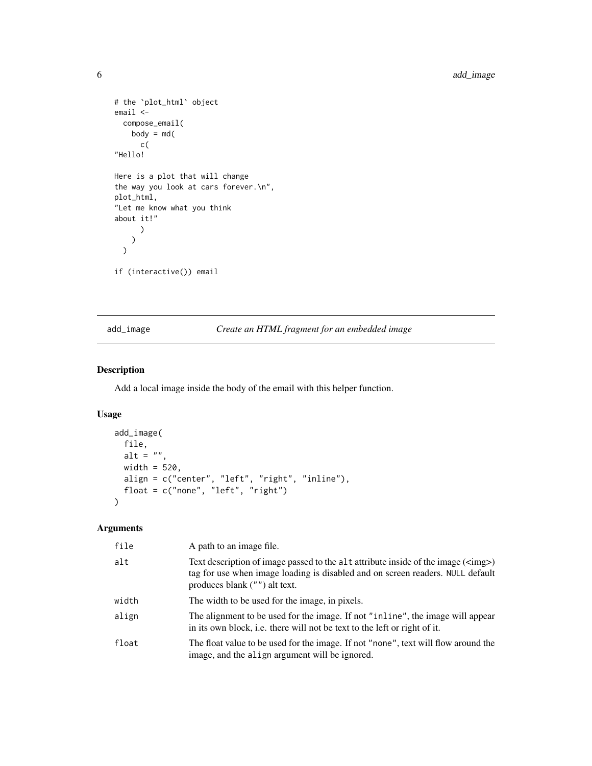```
# the `plot_html` object
email <-
  compose_email(
    body = md(c(
"Hello!
Here is a plot that will change
the way you look at cars forever.\n",
plot_html,
"Let me know what you think
about it!"
      )
    )
  \overline{\phantom{a}}if (interactive()) email
```
## add\_image *Create an HTML fragment for an embedded image*

#### Description

Add a local image inside the body of the email with this helper function.

## Usage

```
add_image(
  file,
 alt = ",
 width = 520,
 align = c("center", "left", "right", "inline"),
 float = c("none", "left", "right")
\mathcal{L}
```
# Arguments

| file  | A path to an image file.                                                                                                                                                                                |
|-------|---------------------------------------------------------------------------------------------------------------------------------------------------------------------------------------------------------|
| alt   | Text description of image passed to the alt attribute inside of the image ( <img/> )<br>tag for use when image loading is disabled and on screen readers. NULL default<br>produces blank ("") alt text. |
| width | The width to be used for the image, in pixels.                                                                                                                                                          |
| align | The alignment to be used for the image. If not "inline", the image will appear<br>in its own block, i.e. there will not be text to the left or right of it.                                             |
| float | The float value to be used for the image. If not "none", text will flow around the<br>image, and the align argument will be ignored.                                                                    |

<span id="page-5-0"></span>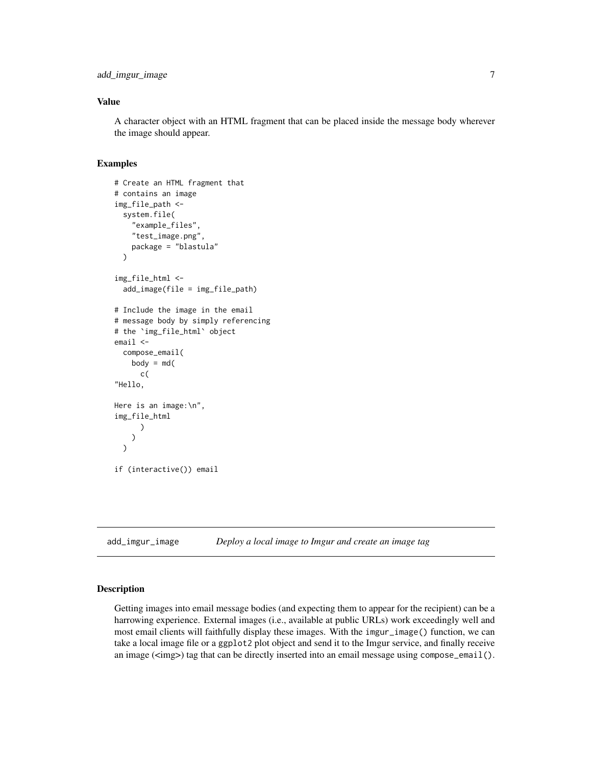#### <span id="page-6-0"></span>Value

A character object with an HTML fragment that can be placed inside the message body wherever the image should appear.

#### Examples

```
# Create an HTML fragment that
# contains an image
img_file_path <-
 system.file(
    "example_files",
    "test_image.png",
    package = "blastula"
 )
img_file_html <-
 add_image(file = img_file_path)
# Include the image in the email
# message body by simply referencing
# the `img_file_html` object
email <-
 compose_email(
    body = md(c(
"Hello,
Here is an image:\n",
img_file_html
      )
    )
 \lambdaif (interactive()) email
```
add\_imgur\_image *Deploy a local image to Imgur and create an image tag*

#### Description

Getting images into email message bodies (and expecting them to appear for the recipient) can be a harrowing experience. External images (i.e., available at public URLs) work exceedingly well and most email clients will faithfully display these images. With the imgur\_image() function, we can take a local image file or a ggplot2 plot object and send it to the Imgur service, and finally receive an image  $(\langle \text{sing} \rangle)$  tag that can be directly inserted into an email message using compose\_email().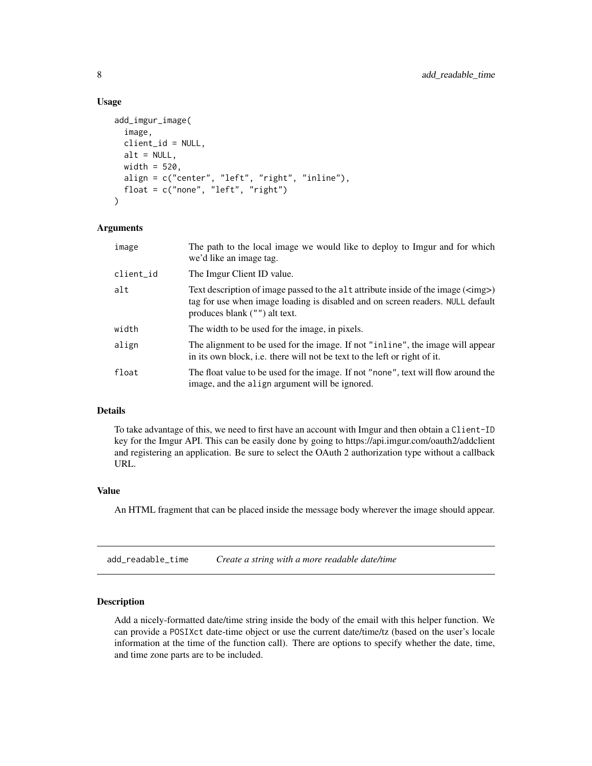#### Usage

```
add_imgur_image(
  image,
  client_id = NULL,
  alt = NULL,width = 520,
  align = c("center", "left", "right", "inline"),
  float = c("none", "left", "right")
)
```
#### Arguments

| image     | The path to the local image we would like to deploy to Imgur and for which<br>we'd like an image tag.                                                                                                   |
|-----------|---------------------------------------------------------------------------------------------------------------------------------------------------------------------------------------------------------|
| client_id | The Imgur Client ID value.                                                                                                                                                                              |
| alt       | Text description of image passed to the alt attribute inside of the image ( <img/> )<br>tag for use when image loading is disabled and on screen readers. NULL default<br>produces blank ("") alt text. |
| width     | The width to be used for the image, in pixels.                                                                                                                                                          |
| align     | The alignment to be used for the image. If not "inline", the image will appear<br>in its own block, i.e. there will not be text to the left or right of it.                                             |
| float     | The float value to be used for the image. If not "none", text will flow around the<br>image, and the align argument will be ignored.                                                                    |

#### Details

To take advantage of this, we need to first have an account with Imgur and then obtain a Client-ID key for the Imgur API. This can be easily done by going to https://api.imgur.com/oauth2/addclient and registering an application. Be sure to select the OAuth 2 authorization type without a callback URL.

#### Value

An HTML fragment that can be placed inside the message body wherever the image should appear.

add\_readable\_time *Create a string with a more readable date/time*

#### Description

Add a nicely-formatted date/time string inside the body of the email with this helper function. We can provide a POSIXct date-time object or use the current date/time/tz (based on the user's locale information at the time of the function call). There are options to specify whether the date, time, and time zone parts are to be included.

<span id="page-7-0"></span>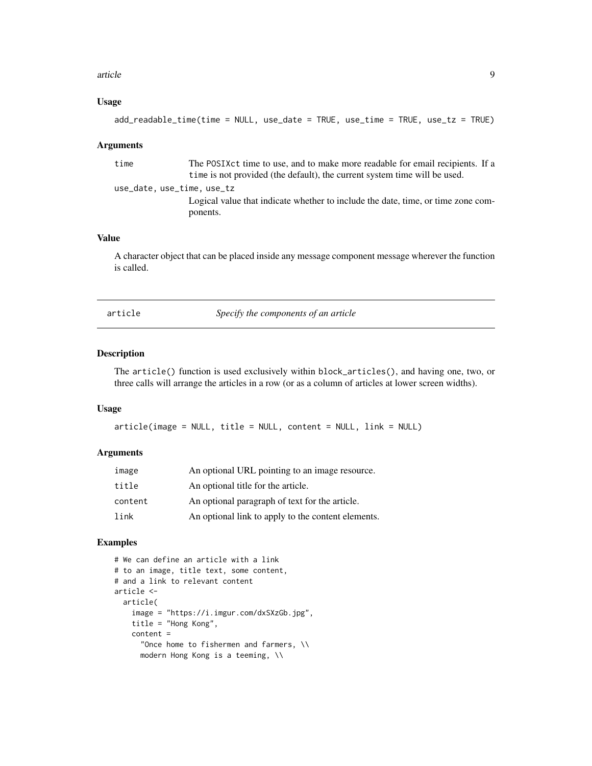#### <span id="page-8-0"></span>article 9

#### Usage

```
add_readable_time(time = NULL, use_date = TRUE, use_time = TRUE, use_tz = TRUE)
```
#### Arguments

time The POSIXct time to use, and to make more readable for email recipients. If a time is not provided (the default), the current system time will be used. use\_date, use\_time, use\_tz Logical value that indicate whether to include the date, time, or time zone components.

#### Value

A character object that can be placed inside any message component message wherever the function is called.

article *Specify the components of an article*

#### Description

The article() function is used exclusively within block\_articles(), and having one, two, or three calls will arrange the articles in a row (or as a column of articles at lower screen widths).

#### Usage

article(image = NULL, title = NULL, content = NULL, link = NULL)

#### Arguments

| image   | An optional URL pointing to an image resource.     |
|---------|----------------------------------------------------|
| title   | An optional title for the article.                 |
| content | An optional paragraph of text for the article.     |
| link    | An optional link to apply to the content elements. |

```
# We can define an article with a link
# to an image, title text, some content,
# and a link to relevant content
article <-
  article(
    image = "https://i.imgur.com/dxSXzGb.jpg",
    title = "Hong Kong",
    content =
      "Once home to fishermen and farmers, \\
     modern Hong Kong is a teeming, \\
```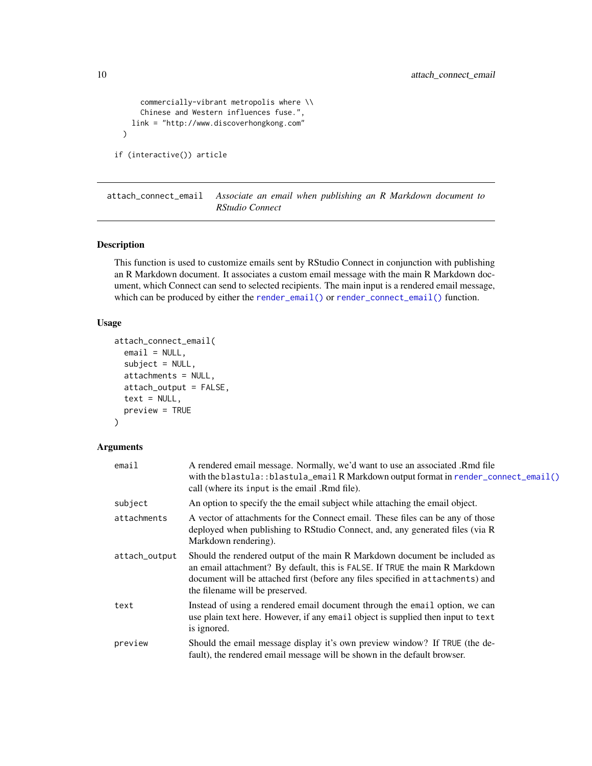```
commercially-vibrant metropolis where \\
      Chinese and Western influences fuse.",
   link = "http://www.discoverhongkong.com"
 \lambdaif (interactive()) article
```
<span id="page-9-1"></span>attach\_connect\_email *Associate an email when publishing an R Markdown document to RStudio Connect*

#### Description

This function is used to customize emails sent by RStudio Connect in conjunction with publishing an R Markdown document. It associates a custom email message with the main R Markdown document, which Connect can send to selected recipients. The main input is a rendered email message, which can be produced by either the [render\\_email\(\)](#page-29-1) or [render\\_connect\\_email\(\)](#page-29-2) function.

#### Usage

```
attach_connect_email(
  email = NULL,subject = NULL,attachments = NULL,
  attach_output = FALSE,
  text = NULL,preview = TRUE
)
```
# Arguments

# email A rendered email message. Normally, we'd want to use an associated .Rmd file with the blastula::blastula\_email R Markdown output format in [render\\_connect\\_email\(\)](#page-29-2) call (where its input is the email .Rmd file). subject An option to specify the the email subject while attaching the email object. attachments A vector of attachments for the Connect email. These files can be any of those deployed when publishing to RStudio Connect, and, any generated files (via R Markdown rendering). attach\_output Should the rendered output of the main R Markdown document be included as an email attachment? By default, this is FALSE. If TRUE the main R Markdown document will be attached first (before any files specified in attachments) and the filename will be preserved. text Instead of using a rendered email document through the email option, we can use plain text here. However, if any email object is supplied then input to text is ignored. preview Should the email message display it's own preview window? If TRUE (the default), the rendered email message will be shown in the default browser.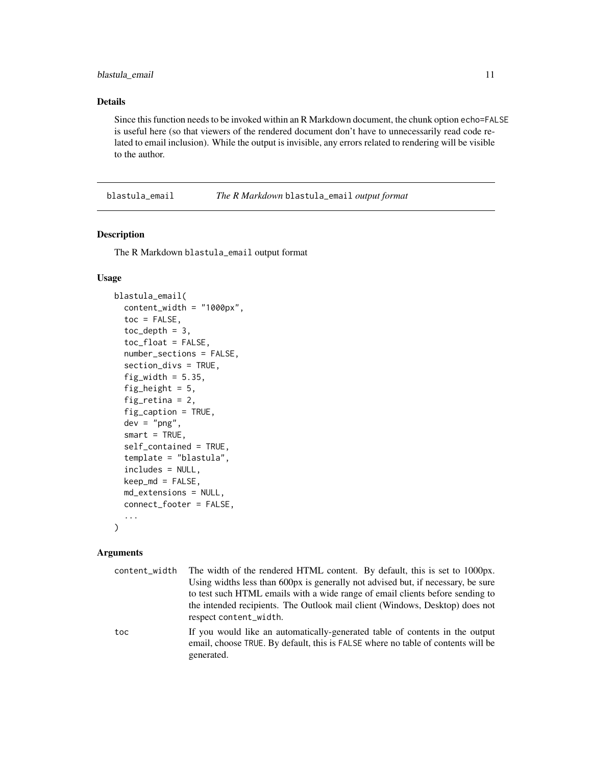#### <span id="page-10-0"></span>Details

Since this function needs to be invoked within an R Markdown document, the chunk option echo=FALSE is useful here (so that viewers of the rendered document don't have to unnecessarily read code related to email inclusion). While the output is invisible, any errors related to rendering will be visible to the author.

blastula\_email *The R Markdown* blastula\_email *output format*

#### Description

The R Markdown blastula\_email output format

#### Usage

```
blastula_email(
  content_width = "1000px",
  toc = FALSE,
  toc\_depth = 3,
  toc_float = FALSE,
  number_sections = FALSE,
  section_divs = TRUE,
  fig\_width = 5.35,fig_height = 5,
  fig_retina = 2,
  fig_caption = TRUE,
  dev = "png",smart = TRUE,self_contained = TRUE,
  template = "blastula",
  includes = NULL,
  keep_md = FALSE,
  md_extensions = NULL,
  connect_footer = FALSE,
  ...
\mathcal{L}
```
## Arguments

| content width | The width of the rendered HTML content. By default, this is set to 1000px.                                                                                                     |
|---------------|--------------------------------------------------------------------------------------------------------------------------------------------------------------------------------|
|               | Using widths less than 600px is generally not advised but, if necessary, be sure                                                                                               |
|               | to test such HTML emails with a wide range of email clients before sending to                                                                                                  |
|               | the intended recipients. The Outlook mail client (Windows, Desktop) does not<br>respect content_width.                                                                         |
| toc           | If you would like an automatically-generated table of contents in the output<br>email, choose TRUE. By default, this is FALSE where no table of contents will be<br>generated. |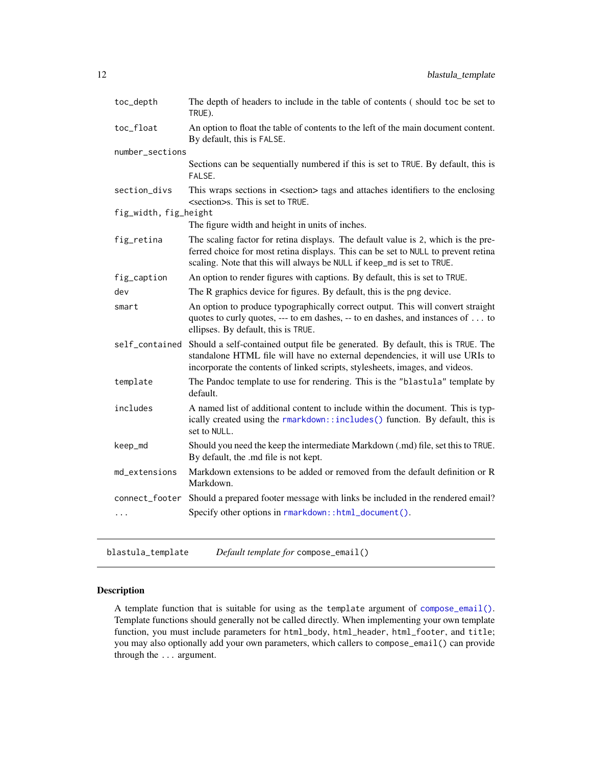<span id="page-11-0"></span>

| toc_depth             | The depth of headers to include in the table of contents (should toc be set to<br>TRUE).                                                                                                                                                         |
|-----------------------|--------------------------------------------------------------------------------------------------------------------------------------------------------------------------------------------------------------------------------------------------|
| toc_float             | An option to float the table of contents to the left of the main document content.<br>By default, this is FALSE.                                                                                                                                 |
| number_sections       |                                                                                                                                                                                                                                                  |
|                       | Sections can be sequentially numbered if this is set to TRUE. By default, this is<br>FALSE.                                                                                                                                                      |
| section_divs          | This wraps sections in <section> tags and attaches identifiers to the enclosing<br/><section>s. This is set to TRUE.</section></section>                                                                                                         |
| fig_width, fig_height |                                                                                                                                                                                                                                                  |
|                       | The figure width and height in units of inches.                                                                                                                                                                                                  |
| fig_retina            | The scaling factor for retina displays. The default value is 2, which is the pre-<br>ferred choice for most retina displays. This can be set to NULL to prevent retina<br>scaling. Note that this will always be NULL if keep_md is set to TRUE. |
| fig_caption           | An option to render figures with captions. By default, this is set to TRUE.                                                                                                                                                                      |
| dev                   | The R graphics device for figures. By default, this is the png device.                                                                                                                                                                           |
| smart                 | An option to produce typographically correct output. This will convert straight<br>quotes to curly quotes, --- to em dashes, -- to en dashes, and instances of to<br>ellipses. By default, this is TRUE.                                         |
| self_contained        | Should a self-contained output file be generated. By default, this is TRUE. The<br>standalone HTML file will have no external dependencies, it will use URIs to<br>incorporate the contents of linked scripts, stylesheets, images, and videos.  |
| template              | The Pandoc template to use for rendering. This is the "blastula" template by<br>default.                                                                                                                                                         |
| includes              | A named list of additional content to include within the document. This is typ-<br>ically created using the rmarkdown::includes() function. By default, this is<br>set to NULL.                                                                  |
| keep_md               | Should you need the keep the intermediate Markdown (.md) file, set this to TRUE.<br>By default, the .md file is not kept.                                                                                                                        |
| md_extensions         | Markdown extensions to be added or removed from the default definition or R<br>Markdown.                                                                                                                                                         |
| connect_footer        | Should a prepared footer message with links be included in the rendered email?                                                                                                                                                                   |
| $\cdots$              | Specify other options in rmarkdown::html_document().                                                                                                                                                                                             |
|                       |                                                                                                                                                                                                                                                  |

<span id="page-11-1"></span>blastula\_template *Default template for* compose\_email()

# Description

A template function that is suitable for using as the template argument of [compose\\_email\(\)](#page-19-1). Template functions should generally not be called directly. When implementing your own template function, you must include parameters for html\_body, html\_header, html\_footer, and title; you may also optionally add your own parameters, which callers to compose\_email() can provide through the ... argument.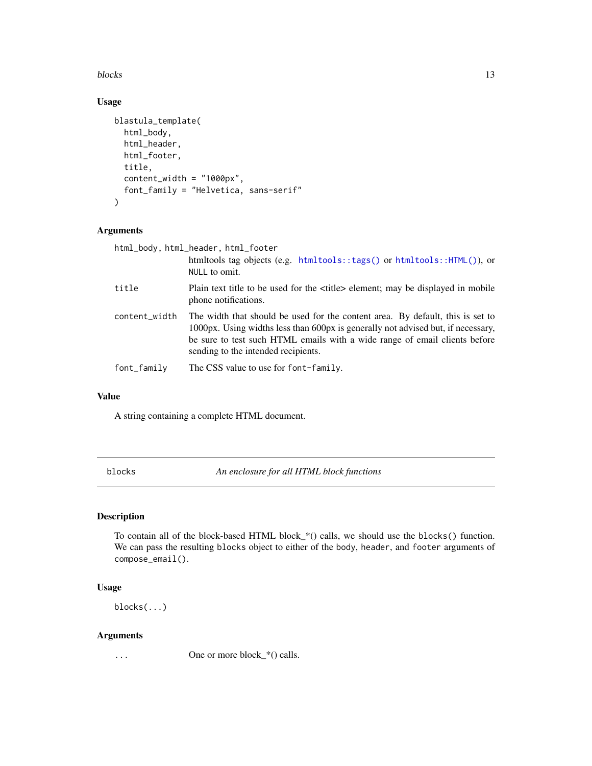<span id="page-12-0"></span>blocks and the state of the state of the state of the state of the state of the state of the state of the state of the state of the state of the state of the state of the state of the state of the state of the state of the

# Usage

```
blastula_template(
  html_body,
  html_header,
  html_footer,
  title,
  content_width = "1000px",
  font_family = "Helvetica, sans-serif"
\mathcal{L}
```
# Arguments

| html_body, html_header, html_footer |                                                                                                                                                                                                                                                                                         |
|-------------------------------------|-----------------------------------------------------------------------------------------------------------------------------------------------------------------------------------------------------------------------------------------------------------------------------------------|
|                                     | htmltools tag objects (e.g. $htmltools::tags()$ or $htmltools::HTML(),$ or<br>NULL to omit.                                                                                                                                                                                             |
| title                               | Plain text title to be used for the $\lt$ title belement; may be displayed in mobile<br>phone notifications.                                                                                                                                                                            |
| content_width                       | The width that should be used for the content area. By default, this is set to<br>1000px. Using widths less than 600px is generally not advised but, if necessary,<br>be sure to test such HTML emails with a wide range of email clients before<br>sending to the intended recipients. |
| font_family                         | The CSS value to use for font-family.                                                                                                                                                                                                                                                   |

#### Value

A string containing a complete HTML document.

<span id="page-12-1"></span>blocks *An enclosure for all HTML block functions*

# Description

To contain all of the block-based HTML block\_\*() calls, we should use the blocks() function. We can pass the resulting blocks object to either of the body, header, and footer arguments of compose\_email().

#### Usage

blocks(...)

#### Arguments

... One or more block\_\*() calls.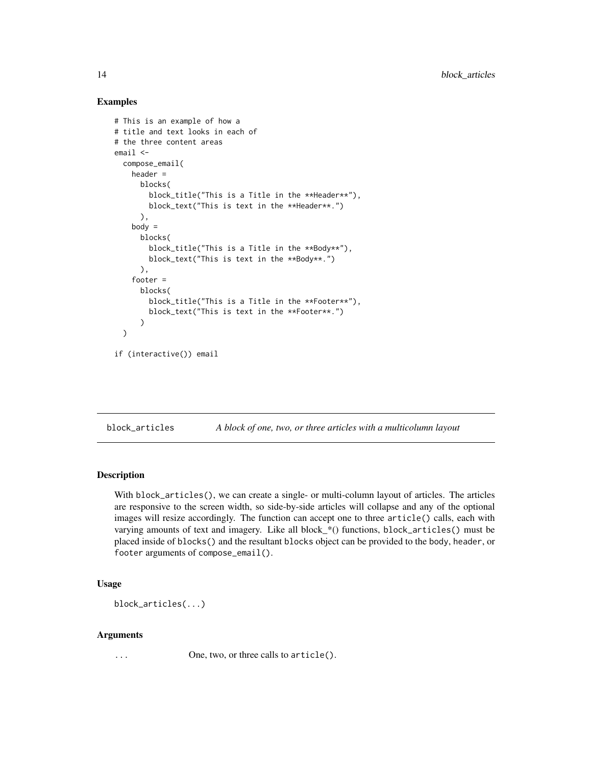#### Examples

```
# This is an example of how a
# title and text looks in each of
# the three content areas
email <-
 compose_email(
   header =
     blocks(
       block_title("This is a Title in the **Header**"),
       block_text("This is text in the **Header**.")
     ),
   body =blocks(
       block_title("This is a Title in the **Body**"),
        block_text("This is text in the **Body**.")
     ),
    footer =
     blocks(
        block_title("This is a Title in the **Footer**"),
        block_text("This is text in the **Footer**.")
     )
 )
if (interactive()) email
```
block\_articles *A block of one, two, or three articles with a multicolumn layout*

#### Description

With block\_articles(), we can create a single- or multi-column layout of articles. The articles are responsive to the screen width, so side-by-side articles will collapse and any of the optional images will resize accordingly. The function can accept one to three article() calls, each with varying amounts of text and imagery. Like all block\_\*() functions, block\_articles() must be placed inside of blocks() and the resultant blocks object can be provided to the body, header, or footer arguments of compose\_email().

#### Usage

```
block_articles(...)
```
#### Arguments

... One, two, or three calls to article().

<span id="page-13-0"></span>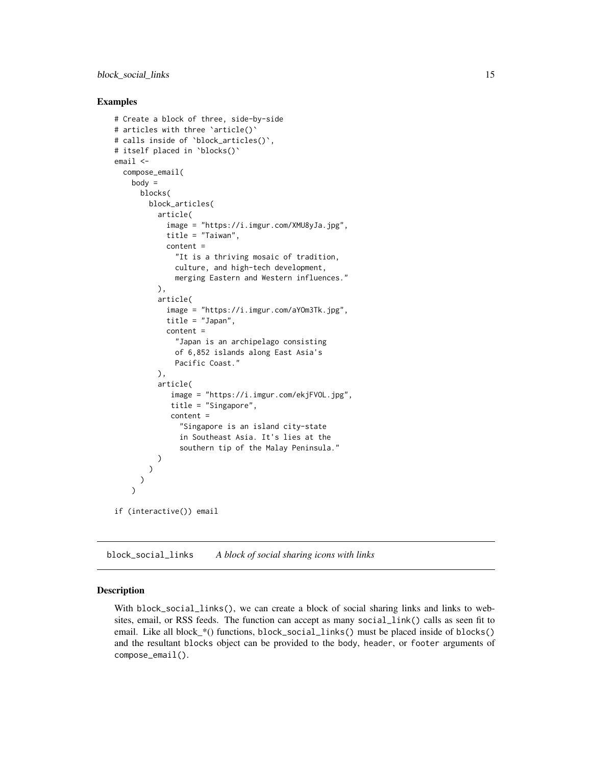#### <span id="page-14-0"></span>Examples

```
# Create a block of three, side-by-side
# articles with three `article()`
# calls inside of `block_articles()`,
# itself placed in `blocks()`
email <-
 compose_email(
   body =blocks(
       block_articles(
          article(
            image = "https://i.imgur.com/XMU8yJa.jpg",
            title = "Taiwan",
            content =
              "It is a thriving mosaic of tradition,
              culture, and high-tech development,
              merging Eastern and Western influences."
          ),
          article(
            image = "https://i.imgur.com/aYOm3Tk.jpg",
            title = "Japan",
            content =
              "Japan is an archipelago consisting
              of 6,852 islands along East Asia's
              Pacific Coast."
          ),
          article(
             image = "https://i.imgur.com/ekjFVOL.jpg",
             title = "Singapore",
             content =
               "Singapore is an island city-state
               in Southeast Asia. It's lies at the
               southern tip of the Malay Peninsula."
          )
        )
     )
   \overline{)}if (interactive()) email
```
block\_social\_links *A block of social sharing icons with links*

#### Description

With block\_social\_links(), we can create a block of social sharing links and links to websites, email, or RSS feeds. The function can accept as many social\_link() calls as seen fit to email. Like all block\_\*() functions, block\_social\_links() must be placed inside of blocks() and the resultant blocks object can be provided to the body, header, or footer arguments of compose\_email().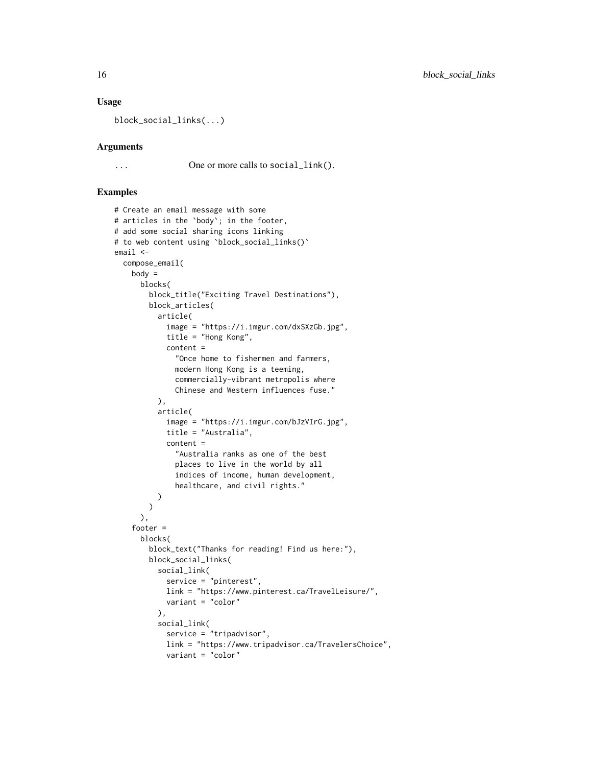#### Usage

block\_social\_links(...)

#### Arguments

... One or more calls to social\_link().

```
# Create an email message with some
# articles in the `body`; in the footer,
# add some social sharing icons linking
# to web content using `block_social_links()`
email <-
  compose_email(
   body =blocks(
       block_title("Exciting Travel Destinations"),
       block_articles(
          article(
            image = "https://i.imgur.com/dxSXzGb.jpg",
            title = "Hong Kong",
            content =
              "Once home to fishermen and farmers,
              modern Hong Kong is a teeming,
              commercially-vibrant metropolis where
              Chinese and Western influences fuse."
          ),
          article(
            image = "https://i.imgur.com/bJzVIrG.jpg",
            title = "Australia",
            content =
              "Australia ranks as one of the best
              places to live in the world by all
              indices of income, human development,
              healthcare, and civil rights."
          )
       )
      ),
    footer =
     blocks(
       block_text("Thanks for reading! Find us here:"),
        block_social_links(
          social_link(
            service = "pinterest",
            link = "https://www.pinterest.ca/TravelLeisure/",
            variant = "color"
          ),
          social_link(
            service = "tripadvisor",
            link = "https://www.tripadvisor.ca/TravelersChoice",
            variant = "color"
```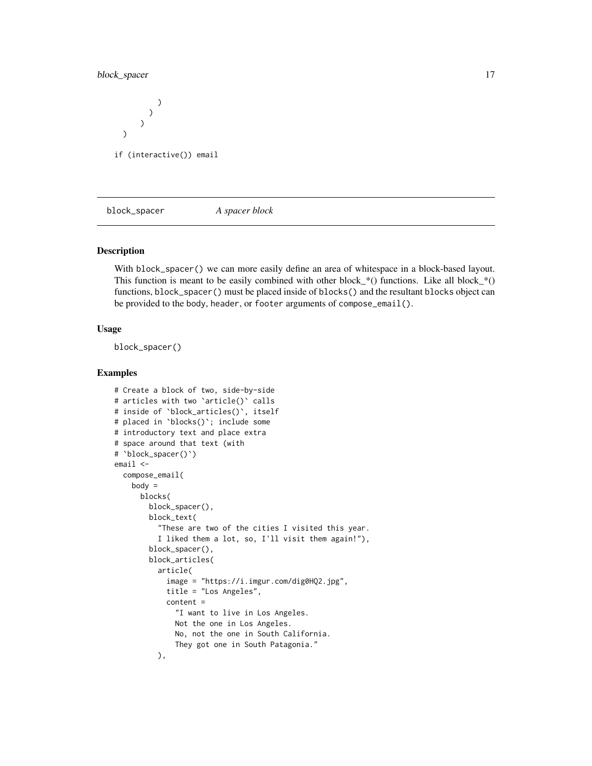## <span id="page-16-0"></span>block\_spacer 17

) ) ) ) if (interactive()) email

block\_spacer *A spacer block*

#### Description

With block\_spacer() we can more easily define an area of whitespace in a block-based layout. This function is meant to be easily combined with other block\_\*() functions. Like all block\_\*() functions, block\_spacer() must be placed inside of blocks() and the resultant blocks object can be provided to the body, header, or footer arguments of compose\_email().

#### Usage

block\_spacer()

```
# Create a block of two, side-by-side
# articles with two `article()` calls
# inside of `block_articles()`, itself
# placed in `blocks()`; include some
# introductory text and place extra
# space around that text (with
# `block_spacer()`)
email <-
 compose_email(
   body =blocks(
       block_spacer(),
        block_text(
          "These are two of the cities I visited this year.
          I liked them a lot, so, I'll visit them again!"),
        block_spacer(),
        block_articles(
          article(
            image = "https://i.imgur.com/dig0HQ2.jpg",
            title = "Los Angeles",
            content =
              "I want to live in Los Angeles.
             Not the one in Los Angeles.
             No, not the one in South California.
             They got one in South Patagonia."
          ),
```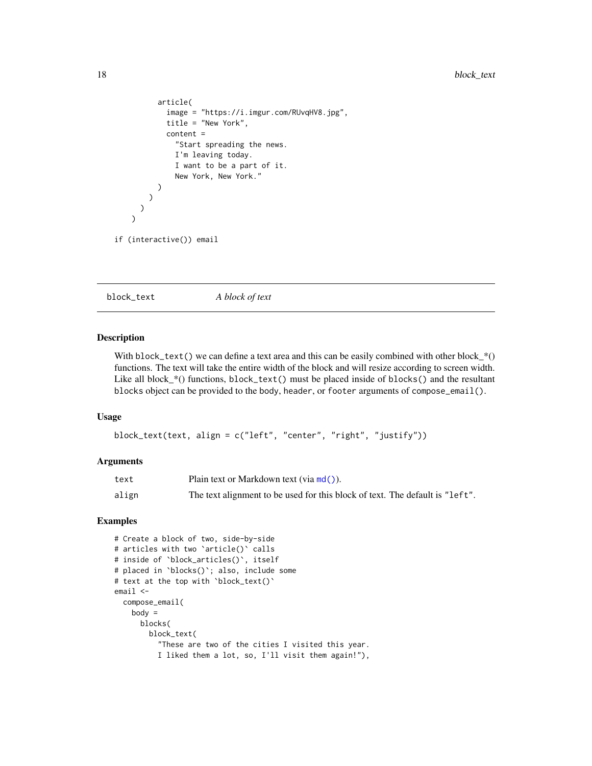```
article(
            image = "https://i.imgur.com/RUvqHV8.jpg",
            title = "New York",
            content =
              "Start spreading the news.
              I'm leaving today.
              I want to be a part of it.
              New York, New York."
          )
        )
     )
    \lambdaif (interactive()) email
```
block\_text *A block of text*

## Description

With block\_text() we can define a text area and this can be easily combined with other block\_\*() functions. The text will take the entire width of the block and will resize according to screen width. Like all block\_\*() functions, block\_text() must be placed inside of blocks() and the resultant blocks object can be provided to the body, header, or footer arguments of compose\_email().

#### Usage

```
block_text(text, align = c("left", "center", "right", "justify"))
```
#### Arguments

| text  | Plain text or Markdown text (via $md()$ ).                                   |
|-------|------------------------------------------------------------------------------|
| align | The text alignment to be used for this block of text. The default is "left". |

```
# Create a block of two, side-by-side
# articles with two `article()` calls
# inside of `block_articles()`, itself
# placed in `blocks()`; also, include some
# text at the top with `block_text()`
email <-
  compose_email(
   body =blocks(
       block_text(
          "These are two of the cities I visited this year.
         I liked them a lot, so, I'll visit them again!"),
```
<span id="page-17-0"></span>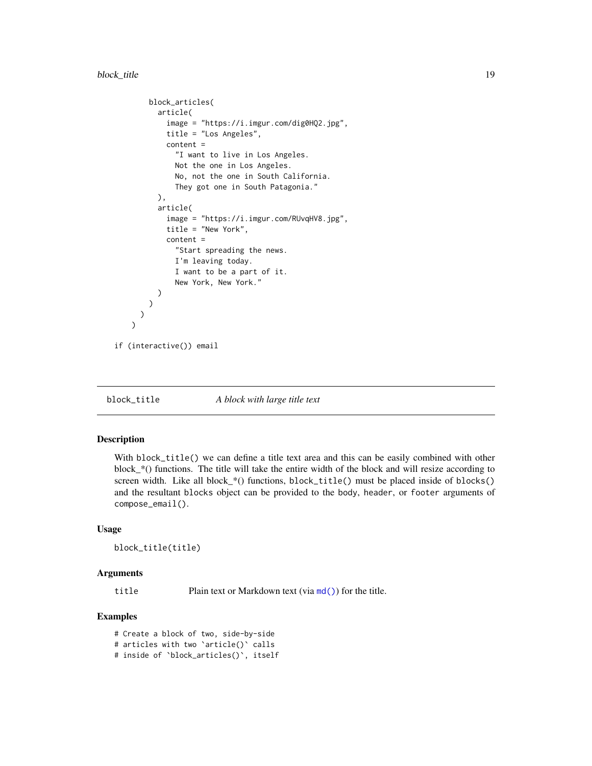```
block_articles(
      article(
        image = "https://i.imgur.com/dig0HQ2.jpg",
        title = "Los Angeles",
        content =
          "I want to live in Los Angeles.
          Not the one in Los Angeles.
          No, not the one in South California.
          They got one in South Patagonia."
      ),
      article(
        image = "https://i.imgur.com/RUvqHV8.jpg",
        title = "New York",
        content =
          "Start spreading the news.
          I'm leaving today.
          I want to be a part of it.
          New York, New York."
      )
   )
 )
\lambda
```
if (interactive()) email

block\_title *A block with large title text*

#### Description

With block\_title() we can define a title text area and this can be easily combined with other block  $*($ ) functions. The title will take the entire width of the block and will resize according to screen width. Like all block\_ $*($ ) functions, block\_title() must be placed inside of blocks() and the resultant blocks object can be provided to the body, header, or footer arguments of compose\_email().

#### Usage

```
block_title(title)
```
#### Arguments

title Plain text or Markdown text (via [md\(\)](#page-27-1)) for the title.

### Examples

# Create a block of two, side-by-side # articles with two `article()` calls # inside of `block\_articles()`, itself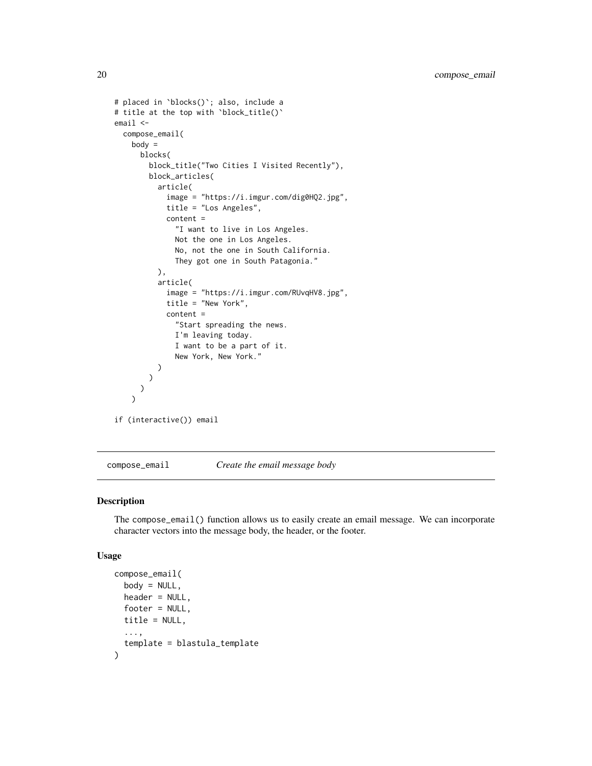```
# placed in `blocks()`; also, include a
# title at the top with `block_title()`
email <-
 compose_email(
   body =
     blocks(
       block_title("Two Cities I Visited Recently"),
        block_articles(
          article(
            image = "https://i.imgur.com/dig0HQ2.jpg",
            title = "Los Angeles",
            content =
              "I want to live in Los Angeles.
              Not the one in Los Angeles.
              No, not the one in South California.
              They got one in South Patagonia."
         ),
          article(
            image = "https://i.imgur.com/RUvqHV8.jpg",
            title = "New York",
            content =
              "Start spreading the news.
              I'm leaving today.
              I want to be a part of it.
              New York, New York."
         )
       )
     )
   )
if (interactive()) email
```
<span id="page-19-1"></span>compose\_email *Create the email message body*

#### Description

The compose\_email() function allows us to easily create an email message. We can incorporate character vectors into the message body, the header, or the footer.

#### Usage

```
compose_email(
 body = NULL,header = NULL,footer = NULL,
 title = NULL,
  ...,
  template = blastula_template
)
```
<span id="page-19-0"></span>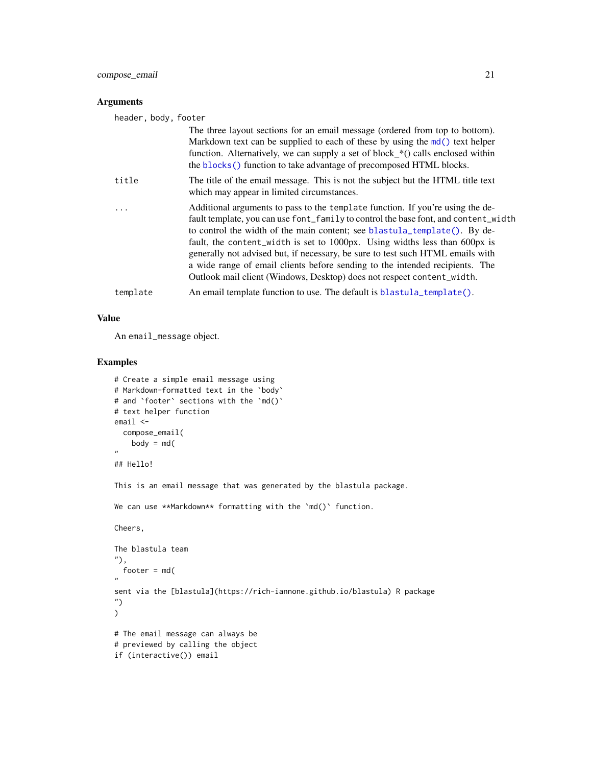<span id="page-20-0"></span>compose\_email 21

#### Arguments

| header, body, footer |                                                                                                                                                                                                                                                                                                                                                                                                                                                                                                                                                                              |
|----------------------|------------------------------------------------------------------------------------------------------------------------------------------------------------------------------------------------------------------------------------------------------------------------------------------------------------------------------------------------------------------------------------------------------------------------------------------------------------------------------------------------------------------------------------------------------------------------------|
|                      | The three layout sections for an email message (ordered from top to bottom).<br>Markdown text can be supplied to each of these by using the md() text helper<br>function. Alternatively, we can supply a set of block (and send of within<br>the blocks() function to take advantage of precomposed HTML blocks.                                                                                                                                                                                                                                                             |
| title                | The title of the email message. This is not the subject but the HTML title text<br>which may appear in limited circumstances.                                                                                                                                                                                                                                                                                                                                                                                                                                                |
| $\ddots$             | Additional arguments to pass to the template function. If you're using the de-<br>fault template, you can use font_family to control the base font, and content_width<br>to control the width of the main content; see blastula_template(). By de-<br>fault, the content_width is set to 1000px. Using widths less than 600px is<br>generally not advised but, if necessary, be sure to test such HTML emails with<br>a wide range of email clients before sending to the intended recipients. The<br>Outlook mail client (Windows, Desktop) does not respect content_width. |
| template             | An email template function to use. The default is blastula_template().                                                                                                                                                                                                                                                                                                                                                                                                                                                                                                       |

#### Value

An email\_message object.

```
# Create a simple email message using
# Markdown-formatted text in the `body`
# and 'footer' sections with the 'md()'
# text helper function
email <-
 compose_email(
   body = md("
## Hello!
This is an email message that was generated by the blastula package.
We can use **Markdown** formatting with the 'md()' function.
Cheers,
The blastula team
"),
  footer = md(
"
sent via the [blastula](https://rich-iannone.github.io/blastula) R package
")
)
# The email message can always be
# previewed by calling the object
if (interactive()) email
```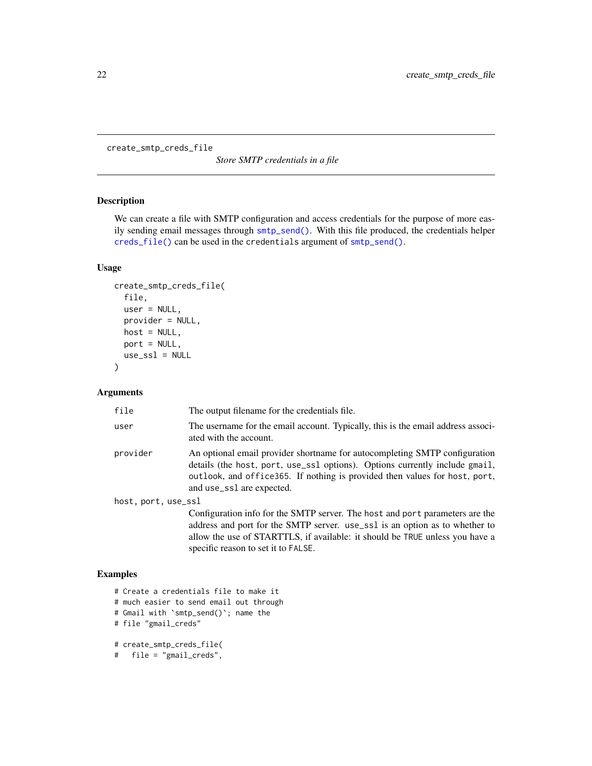<span id="page-21-1"></span><span id="page-21-0"></span>create\_smtp\_creds\_file

*Store SMTP credentials in a file*

#### Description

We can create a file with SMTP configuration and access credentials for the purpose of more easily sending email messages through [smtp\\_send\(\)](#page-31-1). With this file produced, the credentials helper [creds\\_file\(\)](#page-23-1) can be used in the credentials argument of [smtp\\_send\(\)](#page-31-1).

#### Usage

```
create_smtp_creds_file(
  file,
  user = NULL,
  provider = NULL,
  host = NULL,
  port = NULL,
  use\_ssl = NULL\mathcal{L}
```
#### Arguments

| file                | The output filename for the credentials file.                                                                                                                                                                                                                         |
|---------------------|-----------------------------------------------------------------------------------------------------------------------------------------------------------------------------------------------------------------------------------------------------------------------|
| user                | The username for the email account. Typically, this is the email address associ-<br>ated with the account.                                                                                                                                                            |
| provider            | An optional email provider shortname for autocompleting SMTP configuration<br>details (the host, port, use_ss1 options). Options currently include gmail,<br>outlook, and office 365. If nothing is provided then values for host, port,<br>and use_ss1 are expected. |
| host, port, use_ssl |                                                                                                                                                                                                                                                                       |
|                     | Configuration info for the SMTP server. The host and port parameters are the<br>address and port for the SMTP server. use_ss1 is an option as to whether to<br>allow the use of STARTTLS, if available: it should be TRUE unless you have a                           |

specific reason to set it to FALSE.

```
# Create a credentials file to make it
# much easier to send email out through
# Gmail with `smtp_send()`; name the
# file "gmail_creds"
# create_smtp_creds_file(
# file = "gmail_creds",
```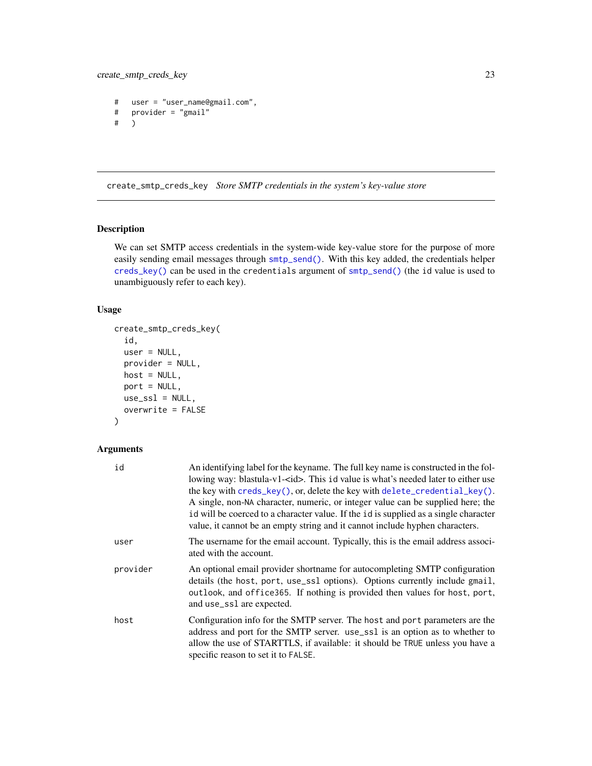```
# user = "user_name@gmail.com",
# provider = "gmail"
# )
```
<span id="page-22-1"></span>create\_smtp\_creds\_key *Store SMTP credentials in the system's key-value store*

# Description

We can set SMTP access credentials in the system-wide key-value store for the purpose of more easily sending email messages through [smtp\\_send\(\)](#page-31-1). With this key added, the credentials helper [creds\\_key\(\)](#page-23-1) can be used in the credentials argument of [smtp\\_send\(\)](#page-31-1) (the id value is used to unambiguously refer to each key).

#### Usage

```
create_smtp_creds_key(
  id,
  user = NULL,
  provider = NULL,
  host = NULL,
  port = NULL,
  use\_ssl = NULL,overwrite = FALSE
\mathcal{L}
```
#### Arguments

| id       | An identifying label for the keyname. The full key name is constructed in the fol-<br>lowing way: blastula-v1- <id>. This id value is what's needed later to either use<br/>the key with creds_key(), or, delete the key with delete_credential_key().<br/>A single, non-NA character, numeric, or integer value can be supplied here; the<br/>id will be coerced to a character value. If the id is supplied as a single character<br/>value, it cannot be an empty string and it cannot include hyphen characters.</id> |
|----------|---------------------------------------------------------------------------------------------------------------------------------------------------------------------------------------------------------------------------------------------------------------------------------------------------------------------------------------------------------------------------------------------------------------------------------------------------------------------------------------------------------------------------|
| user     | The username for the email account. Typically, this is the email address associ-<br>ated with the account.                                                                                                                                                                                                                                                                                                                                                                                                                |
| provider | An optional email provider shortname for autocompleting SMTP configuration<br>details (the host, port, use_ssl options). Options currently include gmail,<br>outlook, and office365. If nothing is provided then values for host, port,<br>and use_ss1 are expected.                                                                                                                                                                                                                                                      |
| host     | Configuration info for the SMTP server. The host and port parameters are the<br>address and port for the SMTP server. use_ss1 is an option as to whether to<br>allow the use of STARTTLS, if available: it should be TRUE unless you have a<br>specific reason to set it to FALSE.                                                                                                                                                                                                                                        |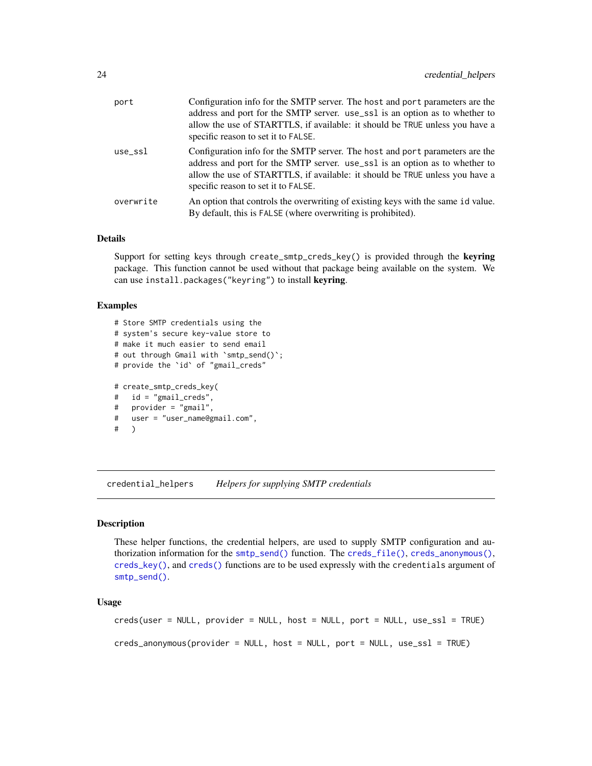<span id="page-23-0"></span>

| port      | Configuration info for the SMTP server. The host and port parameters are the<br>address and port for the SMTP server. use_ss1 is an option as to whether to<br>allow the use of STARTTLS, if available: it should be TRUE unless you have a<br>specific reason to set it to FALSE. |
|-----------|------------------------------------------------------------------------------------------------------------------------------------------------------------------------------------------------------------------------------------------------------------------------------------|
| $use$ ssl | Configuration info for the SMTP server. The host and port parameters are the<br>address and port for the SMTP server. use_ss1 is an option as to whether to<br>allow the use of STARTTLS, if available: it should be TRUE unless you have a<br>specific reason to set it to FALSE. |
| overwrite | An option that controls the overwriting of existing keys with the same id value.<br>By default, this is FALSE (where overwriting is prohibited).                                                                                                                                   |

#### Details

Support for setting keys through create\_smtp\_creds\_key() is provided through the keyring package. This function cannot be used without that package being available on the system. We can use install.packages("keyring") to install keyring.

#### Examples

```
# Store SMTP credentials using the
# system's secure key-value store to
# make it much easier to send email
# out through Gmail with `smtp_send()`;
# provide the `id` of "gmail_creds"
# create_smtp_creds_key(
# id = "gmail_creds",
# provider = "gmail",
# user = "user_name@gmail.com",
# )
```
credential\_helpers *Helpers for supplying SMTP credentials*

#### <span id="page-23-1"></span>Description

These helper functions, the credential helpers, are used to supply SMTP configuration and authorization information for the [smtp\\_send\(\)](#page-31-1) function. The [creds\\_file\(\)](#page-23-1), [creds\\_anonymous\(\)](#page-23-1), [creds\\_key\(\)](#page-23-1), and [creds\(\)](#page-23-1) functions are to be used expressly with the credentials argument of [smtp\\_send\(\)](#page-31-1).

#### Usage

```
creds(user = NULL, provider = NULL, host = NULL, port = NULL, use_ssl = TRUE)
```
creds\_anonymous(provider = NULL, host = NULL, port = NULL, use\_ssl = TRUE)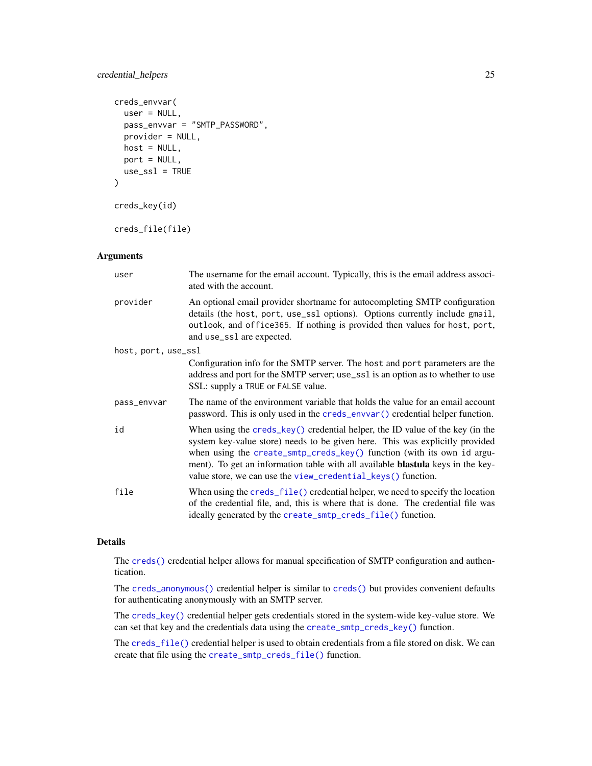## <span id="page-24-0"></span>credential\_helpers 25

```
creds_envvar(
 user = NULL,
 pass_envvar = "SMTP_PASSWORD",
 provider = NULL,
 host = NULL,
 port = NULL,
 use\_ssl = TRUE)
creds_key(id)
creds_file(file)
```
# Arguments

| user                | The username for the email account. Typically, this is the email address associ-<br>ated with the account.                                                                                                                                                                                                                                                                                           |
|---------------------|------------------------------------------------------------------------------------------------------------------------------------------------------------------------------------------------------------------------------------------------------------------------------------------------------------------------------------------------------------------------------------------------------|
| provider            | An optional email provider shortname for autocompleting SMTP configuration<br>details (the host, port, use_ss1 options). Options currently include gmail,<br>outlook, and office365. If nothing is provided then values for host, port,<br>and use_ss1 are expected.                                                                                                                                 |
| host, port, use_ssl |                                                                                                                                                                                                                                                                                                                                                                                                      |
|                     | Configuration info for the SMTP server. The host and port parameters are the<br>address and port for the SMTP server; use_ss1 is an option as to whether to use<br>SSL: supply a TRUE or FALSE value.                                                                                                                                                                                                |
| pass_envvar         | The name of the environment variable that holds the value for an email account<br>password. This is only used in the creds_envvar() credential helper function.                                                                                                                                                                                                                                      |
| id                  | When using the $c$ reds_key() credential helper, the ID value of the key (in the<br>system key-value store) needs to be given here. This was explicitly provided<br>when using the create_smtp_creds_key() function (with its own id argu-<br>ment). To get an information table with all available <b>blastula</b> keys in the key-<br>value store, we can use the view_credential_keys() function. |
| file                | When using the $\c{c}$ reds_file() credential helper, we need to specify the location<br>of the credential file, and, this is where that is done. The credential file was<br>ideally generated by the create_smtp_creds_file() function.                                                                                                                                                             |

# Details

The [creds\(\)](#page-23-1) credential helper allows for manual specification of SMTP configuration and authentication.

The [creds\\_anonymous\(\)](#page-23-1) credential helper is similar to [creds\(\)](#page-23-1) but provides convenient defaults for authenticating anonymously with an SMTP server.

The [creds\\_key\(\)](#page-23-1) credential helper gets credentials stored in the system-wide key-value store. We can set that key and the credentials data using the [create\\_smtp\\_creds\\_key\(\)](#page-22-1) function.

The [creds\\_file\(\)](#page-23-1) credential helper is used to obtain credentials from a file stored on disk. We can create that file using the [create\\_smtp\\_creds\\_file\(\)](#page-21-1) function.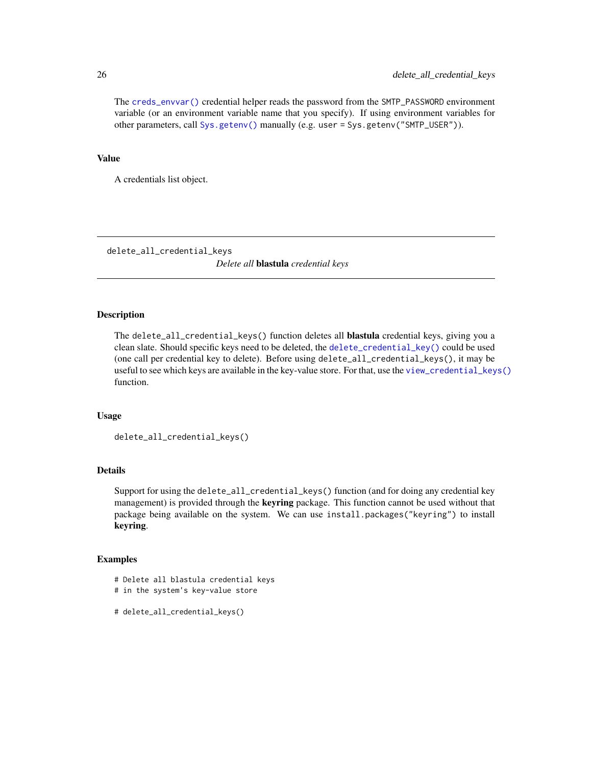The [creds\\_envvar\(\)](#page-23-1) credential helper reads the password from the SMTP\_PASSWORD environment variable (or an environment variable name that you specify). If using environment variables for other parameters, call [Sys.getenv\(\)](#page-0-0) manually (e.g. user = Sys.getenv("SMTP\_USER")).

#### Value

A credentials list object.

delete\_all\_credential\_keys *Delete all* blastula *credential keys*

#### Description

The delete\_all\_credential\_keys() function deletes all blastula credential keys, giving you a clean slate. Should specific keys need to be deleted, the [delete\\_credential\\_key\(\)](#page-26-1) could be used (one call per credential key to delete). Before using delete\_all\_credential\_keys(), it may be useful to see which keys are available in the key-value store. For that, use the [view\\_credential\\_keys\(\)](#page-37-1) function.

#### Usage

```
delete_all_credential_keys()
```
#### Details

Support for using the delete\_all\_credential\_keys() function (and for doing any credential key management) is provided through the **keyring** package. This function cannot be used without that package being available on the system. We can use install.packages("keyring") to install keyring.

- # Delete all blastula credential keys
- # in the system's key-value store

```
# delete_all_credential_keys()
```
<span id="page-25-0"></span>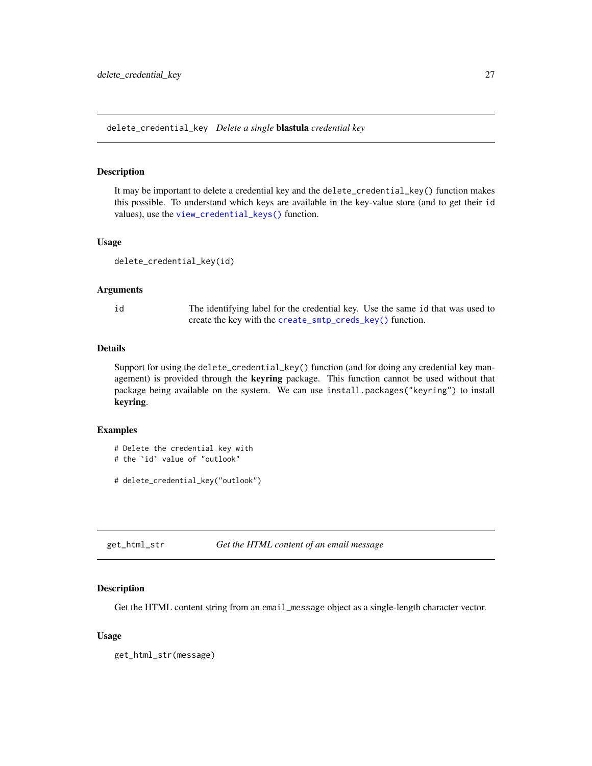<span id="page-26-1"></span><span id="page-26-0"></span>delete\_credential\_key *Delete a single* blastula *credential key*

#### Description

It may be important to delete a credential key and the delete\_credential\_key() function makes this possible. To understand which keys are available in the key-value store (and to get their id values), use the [view\\_credential\\_keys\(\)](#page-37-1) function.

#### Usage

```
delete_credential_key(id)
```
#### Arguments

id The identifying label for the credential key. Use the same id that was used to create the key with the [create\\_smtp\\_creds\\_key\(\)](#page-22-1) function.

#### **Details**

Support for using the delete\_credential\_key() function (and for doing any credential key management) is provided through the keyring package. This function cannot be used without that package being available on the system. We can use install.packages("keyring") to install keyring.

# Examples

```
# Delete the credential key with
```

```
# the `id` value of "outlook"
```

```
# delete_credential_key("outlook")
```
get\_html\_str *Get the HTML content of an email message*

#### Description

Get the HTML content string from an email\_message object as a single-length character vector.

#### Usage

get\_html\_str(message)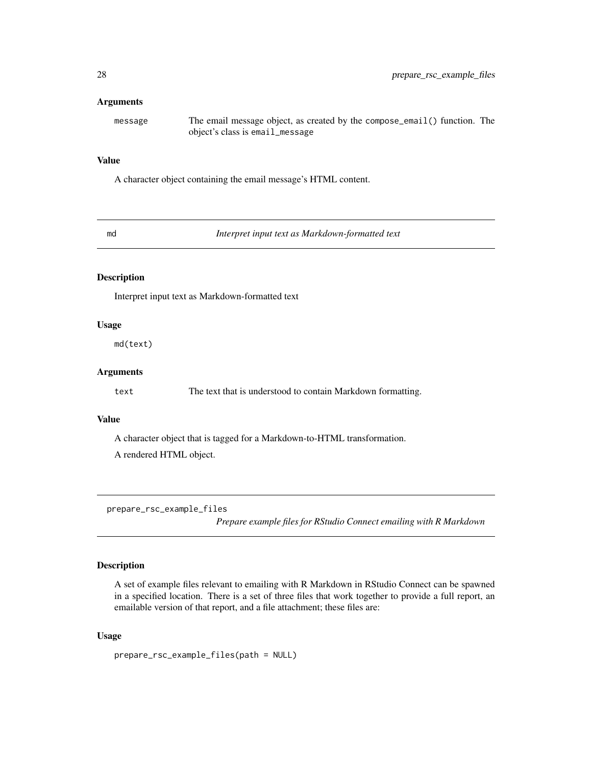#### <span id="page-27-0"></span>**Arguments**

message The email message object, as created by the compose\_email() function. The object's class is email\_message

#### Value

A character object containing the email message's HTML content.

<span id="page-27-1"></span>md *Interpret input text as Markdown-formatted text*

# Description

Interpret input text as Markdown-formatted text

## Usage

md(text)

#### Arguments

text The text that is understood to contain Markdown formatting.

#### Value

A character object that is tagged for a Markdown-to-HTML transformation. A rendered HTML object.

prepare\_rsc\_example\_files

*Prepare example files for RStudio Connect emailing with R Markdown*

#### Description

A set of example files relevant to emailing with R Markdown in RStudio Connect can be spawned in a specified location. There is a set of three files that work together to provide a full report, an emailable version of that report, and a file attachment; these files are:

#### Usage

prepare\_rsc\_example\_files(path = NULL)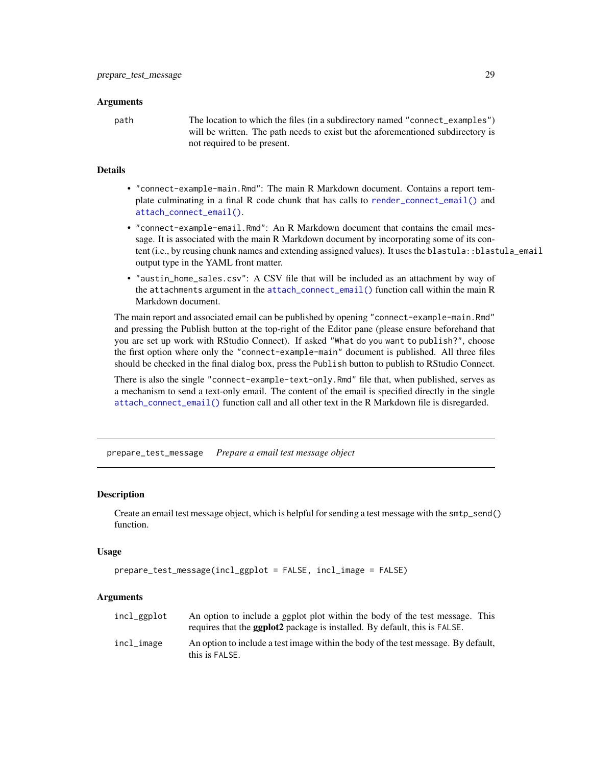#### <span id="page-28-0"></span>Arguments

path The location to which the files (in a subdirectory named "connect\_examples") will be written. The path needs to exist but the aforementioned subdirectory is not required to be present.

#### Details

- "connect-example-main.Rmd": The main R Markdown document. Contains a report template culminating in a final R code chunk that has calls to [render\\_connect\\_email\(\)](#page-29-2) and [attach\\_connect\\_email\(\)](#page-9-1).
- "connect-example-email.Rmd": An R Markdown document that contains the email message. It is associated with the main R Markdown document by incorporating some of its content (i.e., by reusing chunk names and extending assigned values). It uses the blastula::blastula\_email output type in the YAML front matter.
- "austin\_home\_sales.csv": A CSV file that will be included as an attachment by way of the attachments argument in the [attach\\_connect\\_email\(\)](#page-9-1) function call within the main R Markdown document.

The main report and associated email can be published by opening "connect-example-main.Rmd" and pressing the Publish button at the top-right of the Editor pane (please ensure beforehand that you are set up work with RStudio Connect). If asked "What do you want to publish?", choose the first option where only the "connect-example-main" document is published. All three files should be checked in the final dialog box, press the Publish button to publish to RStudio Connect.

There is also the single "connect-example-text-only.Rmd" file that, when published, serves as a mechanism to send a text-only email. The content of the email is specified directly in the single [attach\\_connect\\_email\(\)](#page-9-1) function call and all other text in the R Markdown file is disregarded.

prepare\_test\_message *Prepare a email test message object*

#### Description

Create an email test message object, which is helpful for sending a test message with the smtp\_send() function.

#### Usage

```
prepare_test_message(incl_ggplot = FALSE, incl_image = FALSE)
```
#### Arguments

| incl_ggplot | An option to include a ggplot plot within the body of the test message. This<br>requires that the <b>ggplot2</b> package is installed. By default, this is FALSE. |
|-------------|-------------------------------------------------------------------------------------------------------------------------------------------------------------------|
| incl_image  | An option to include a test image within the body of the test message. By default,<br>this is FALSE.                                                              |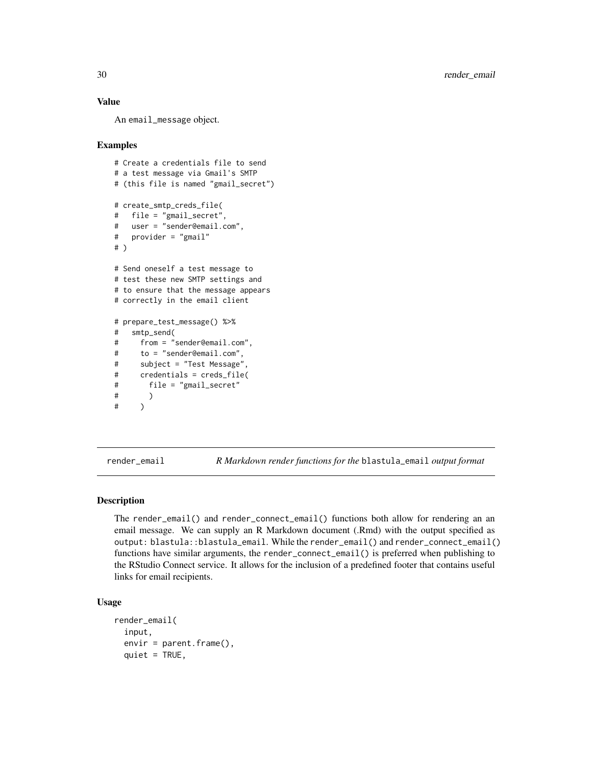## Value

An email\_message object.

#### Examples

```
# Create a credentials file to send
# a test message via Gmail's SMTP
# (this file is named "gmail_secret")
# create_smtp_creds_file(
# file = "gmail_secret",
# user = "sender@email.com",
# provider = "gmail"
# )
# Send oneself a test message to
# test these new SMTP settings and
# to ensure that the message appears
# correctly in the email client
# prepare_test_message() %>%
# smtp_send(
# from = "sender@email.com",
# to = "sender@email.com",
# subject = "Test Message",
# credentials = creds_file(
# file = "gmail_secret"
# )
# )
```
<span id="page-29-1"></span>render\_email *R Markdown render functions for the* blastula\_email *output format*

# <span id="page-29-2"></span>Description

The render\_email() and render\_connect\_email() functions both allow for rendering an an email message. We can supply an R Markdown document (.Rmd) with the output specified as output: blastula::blastula\_email. While the render\_email() and render\_connect\_email() functions have similar arguments, the render\_connect\_email() is preferred when publishing to the RStudio Connect service. It allows for the inclusion of a predefined footer that contains useful links for email recipients.

#### Usage

```
render_email(
  input,
  envir = parent.frame(),
  quiet = TRUE,
```
<span id="page-29-0"></span>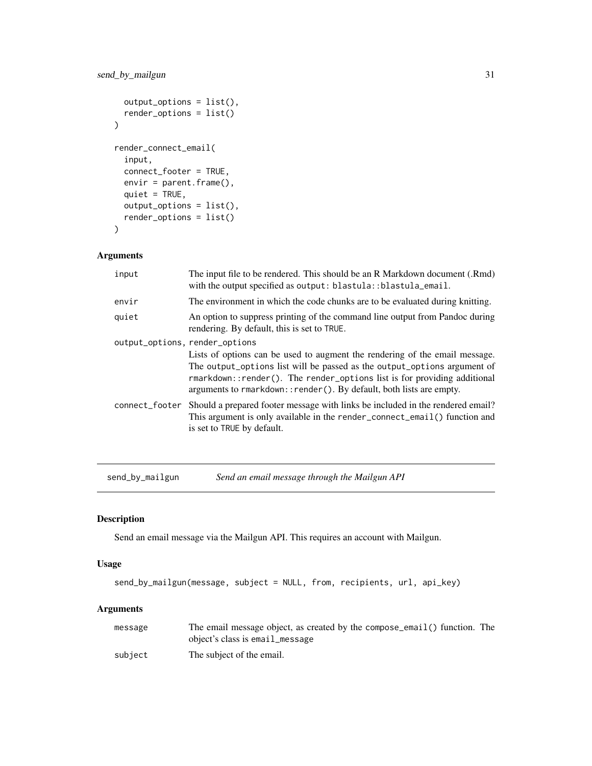## <span id="page-30-0"></span>send\_by\_mailgun 31

```
output_options = list(),
 render_options = list()
\mathcal{L}render_connect_email(
  input,
  connect_footer = TRUE,
 envir = parent.frame(),
  quiet = TRUE,
 output_options = list(),
  render_options = list()
\mathcal{L}
```
#### Arguments

| input                          | The input file to be rendered. This should be an R Markdown document (.Rmd)<br>with the output specified as output: blastula::blastula_email.                                                                                           |
|--------------------------------|-----------------------------------------------------------------------------------------------------------------------------------------------------------------------------------------------------------------------------------------|
| envir                          | The environment in which the code chunks are to be evaluated during knitting.                                                                                                                                                           |
| quiet                          | An option to suppress printing of the command line output from Pandoc during<br>rendering. By default, this is set to TRUE.                                                                                                             |
| output_options, render_options |                                                                                                                                                                                                                                         |
|                                | Lists of options can be used to augment the rendering of the email message.<br>The output_options list will be passed as the output_options argument of<br>$r$ markdown:: render(). The render options list is for providing additional |
|                                | arguments to rmarkdown:: render(). By default, both lists are empty.                                                                                                                                                                    |
| connect_footer                 | Should a prepared footer message with links be included in the rendered email?<br>This argument is only available in the render_connect_email() function and<br>is set to TRUE by default.                                              |

send\_by\_mailgun *Send an email message through the Mailgun API*

## Description

Send an email message via the Mailgun API. This requires an account with Mailgun.

#### Usage

```
send_by_mailgun(message, subject = NULL, from, recipients, url, api_key)
```
## Arguments

| message | The email message object, as created by the compose_email() function. The |
|---------|---------------------------------------------------------------------------|
|         | object's class is email_message                                           |
| subject | The subject of the email.                                                 |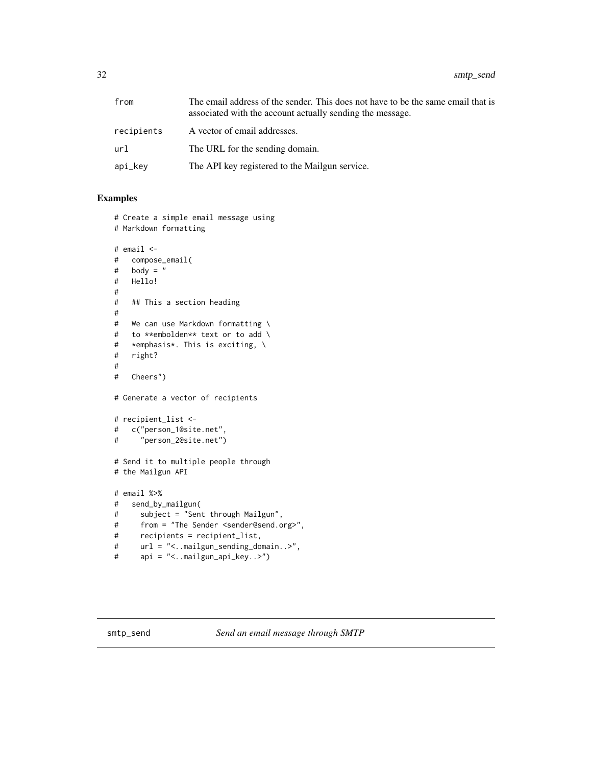<span id="page-31-0"></span>

| from       | The email address of the sender. This does not have to be the same email that is<br>associated with the account actually sending the message. |
|------------|-----------------------------------------------------------------------------------------------------------------------------------------------|
| recipients | A vector of email addresses.                                                                                                                  |
| url        | The URL for the sending domain.                                                                                                               |
| api_key    | The API key registered to the Mailgun service.                                                                                                |

### Examples

```
# Create a simple email message using
# Markdown formatting
# email <-
# compose_email(
# body = "
# Hello!
#
# ## This a section heading
#
# We can use Markdown formatting \
# to **embolden** text or to add \
# *emphasis*. This is exciting, \
# right?
#
# Cheers")
# Generate a vector of recipients
# recipient_list <-
# c("person_1@site.net",
# "person_2@site.net")
# Send it to multiple people through
# the Mailgun API
# email %>%
# send_by_mailgun(
# subject = "Sent through Mailgun",
# from = "The Sender <sender@send.org>",
# recipients = recipient_list,
# url = "<..mailgun_sending_domain..>",
# api = "<..mailgun_api_key..>")
```
<span id="page-31-1"></span>smtp\_send *Send an email message through SMTP*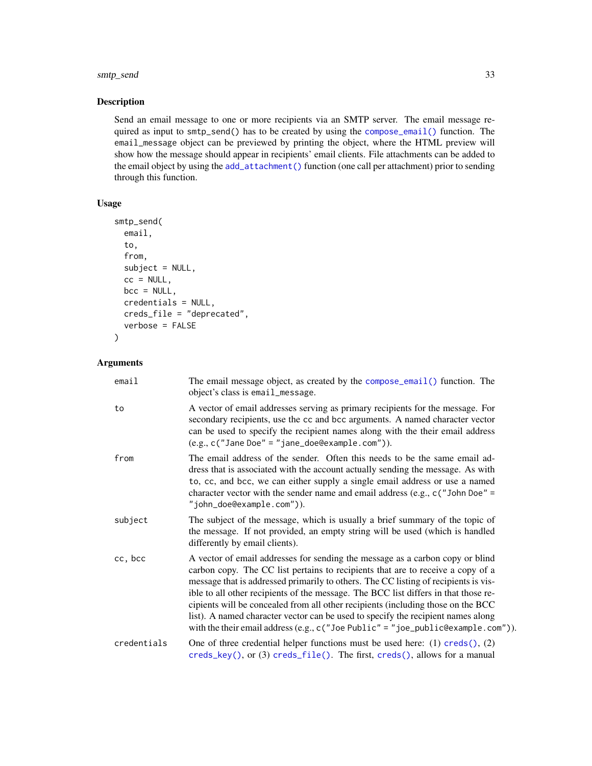## <span id="page-32-0"></span>smtp\_send 33

# Description

Send an email message to one or more recipients via an SMTP server. The email message required as input to smtp\_send() has to be created by using the [compose\\_email\(\)](#page-19-1) function. The email\_message object can be previewed by printing the object, where the HTML preview will show how the message should appear in recipients' email clients. File attachments can be added to the email object by using the [add\\_attachment\(\)](#page-2-1) function (one call per attachment) prior to sending through this function.

#### Usage

```
smtp_send(
 email,
  to,
  from,
  subject = NULL,cc = NULL,bcc = NULL,credentials = NULL,
 creds_file = "deprecated",
  verbose = FALSE
\lambda
```
## Arguments

| email       | The email message object, as created by the compose_email() function. The<br>object's class is email_message.                                                                                                                                                                                                                                                                                                                                                                                                                                                                                              |
|-------------|------------------------------------------------------------------------------------------------------------------------------------------------------------------------------------------------------------------------------------------------------------------------------------------------------------------------------------------------------------------------------------------------------------------------------------------------------------------------------------------------------------------------------------------------------------------------------------------------------------|
| to          | A vector of email addresses serving as primary recipients for the message. For<br>secondary recipients, use the cc and bcc arguments. A named character vector<br>can be used to specify the recipient names along with the their email address<br>$(e.g., c("Jane Doe" = "jane_doe@example.com").$                                                                                                                                                                                                                                                                                                        |
| from        | The email address of the sender. Often this needs to be the same email ad-<br>dress that is associated with the account actually sending the message. As with<br>to, cc, and bcc, we can either supply a single email address or use a named<br>character vector with the sender name and email address (e.g., $c$ ("John Doe" =<br>"john_doe@example.com")).                                                                                                                                                                                                                                              |
| subject     | The subject of the message, which is usually a brief summary of the topic of<br>the message. If not provided, an empty string will be used (which is handled<br>differently by email clients).                                                                                                                                                                                                                                                                                                                                                                                                             |
| cc, bcc     | A vector of email addresses for sending the message as a carbon copy or blind<br>carbon copy. The CC list pertains to recipients that are to receive a copy of a<br>message that is addressed primarily to others. The CC listing of recipients is vis-<br>ible to all other recipients of the message. The BCC list differs in that those re-<br>cipients will be concealed from all other recipients (including those on the BCC<br>list). A named character vector can be used to specify the recipient names along<br>with the their email address (e.g., c("Joe Public" = "joe_public@example.com")). |
| credentials | One of three credential helper functions must be used here: (1) $c$ reds(), (2)<br>$creds_{key}($ , or (3) $creds_{file}()$ . The first, $creds()$ , allows for a manual                                                                                                                                                                                                                                                                                                                                                                                                                                   |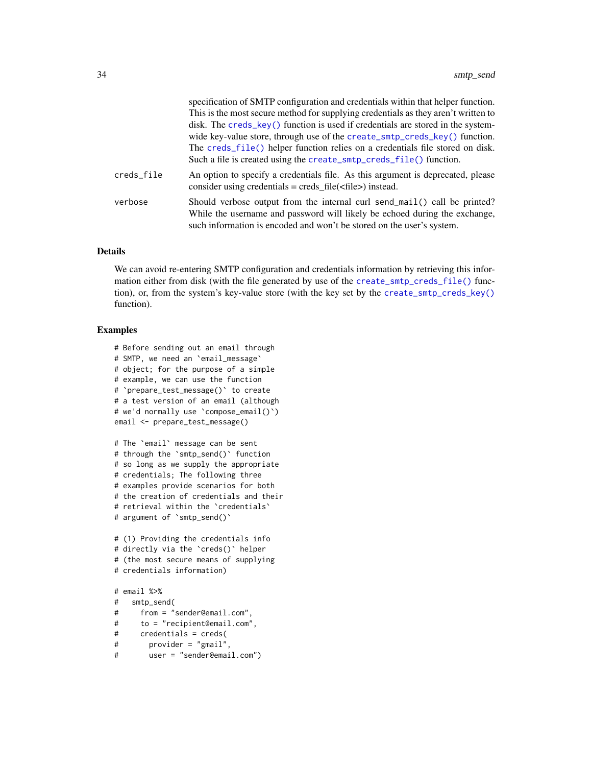<span id="page-33-0"></span>

|            | specification of SMTP configuration and credentials within that helper function.<br>This is the most secure method for supplying credentials as they aren't written to<br>disk. The creds_key() function is used if credentials are stored in the system-<br>wide key-value store, through use of the create_smtp_creds_key() function.<br>The creds_file() helper function relies on a credentials file stored on disk.<br>Such a file is created using the create_smtp_creds_file() function. |
|------------|-------------------------------------------------------------------------------------------------------------------------------------------------------------------------------------------------------------------------------------------------------------------------------------------------------------------------------------------------------------------------------------------------------------------------------------------------------------------------------------------------|
| creds_file | An option to specify a credentials file. As this argument is deprecated, please<br>consider using credentials = $\text{creds\_file}(\text{efile})$ instead.                                                                                                                                                                                                                                                                                                                                     |
| verbose    | Should verbose output from the internal curl send_mail() call be printed?<br>While the username and password will likely be echoed during the exchange,<br>such information is encoded and won't be stored on the user's system.                                                                                                                                                                                                                                                                |

#### Details

We can avoid re-entering SMTP configuration and credentials information by retrieving this information either from disk (with the file generated by use of the [create\\_smtp\\_creds\\_file\(\)](#page-21-1) function), or, from the system's key-value store (with the key set by the [create\\_smtp\\_creds\\_key\(\)](#page-22-1) function).

```
# Before sending out an email through
# SMTP, we need an `email_message`
# object; for the purpose of a simple
# example, we can use the function
# `prepare_test_message()` to create
# a test version of an email (although
# we'd normally use `compose_email()`)
email <- prepare_test_message()
# The `email` message can be sent
# through the `smtp_send()` function
# so long as we supply the appropriate
# credentials; The following three
# examples provide scenarios for both
# the creation of credentials and their
# retrieval within the `credentials`
# argument of `smtp_send()`
# (1) Providing the credentials info
# directly via the `creds()` helper
# (the most secure means of supplying
# credentials information)
# email %>%
# smtp_send(
# from = "sender@email.com",
```

```
# to = "recipient@email.com",
```

```
# credentials = creds(
```

```
# provider = "gmail",
```

```
# user = "sender@email.com")
```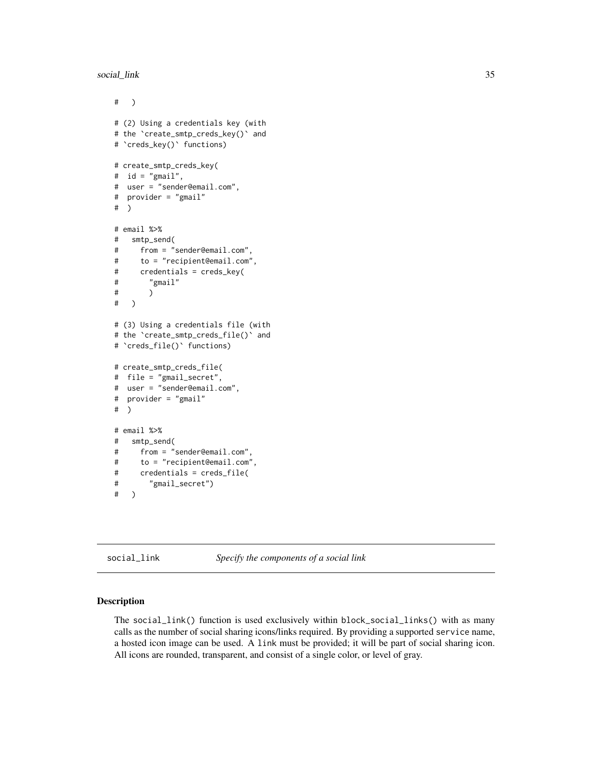<span id="page-34-0"></span>social\_link 35

```
# )
# (2) Using a credentials key (with
# the `create_smtp_creds_key()` and
# `creds_key()` functions)
# create_smtp_creds_key(
# id = "gmail",
# user = "sender@email.com",
# provider = "gmail"
# )
# email %>%
# smtp_send(
# from = "sender@email.com",
# to = "recipient@email.com",
# credentials = creds_key(
# "gmail"
# )
# )
# (3) Using a credentials file (with
# the `create_smtp_creds_file()` and
# `creds_file()` functions)
# create_smtp_creds_file(
# file = "gmail_secret",
# user = "sender@email.com",
# provider = "gmail"
# )
# email %>%
# smtp_send(
# from = "sender@email.com",
# to = "recipient@email.com",
# credentials = creds_file(
# "gmail_secret")
# )
```
social\_link *Specify the components of a social link*

#### Description

The social\_link() function is used exclusively within block\_social\_links() with as many calls as the number of social sharing icons/links required. By providing a supported service name, a hosted icon image can be used. A link must be provided; it will be part of social sharing icon. All icons are rounded, transparent, and consist of a single color, or level of gray.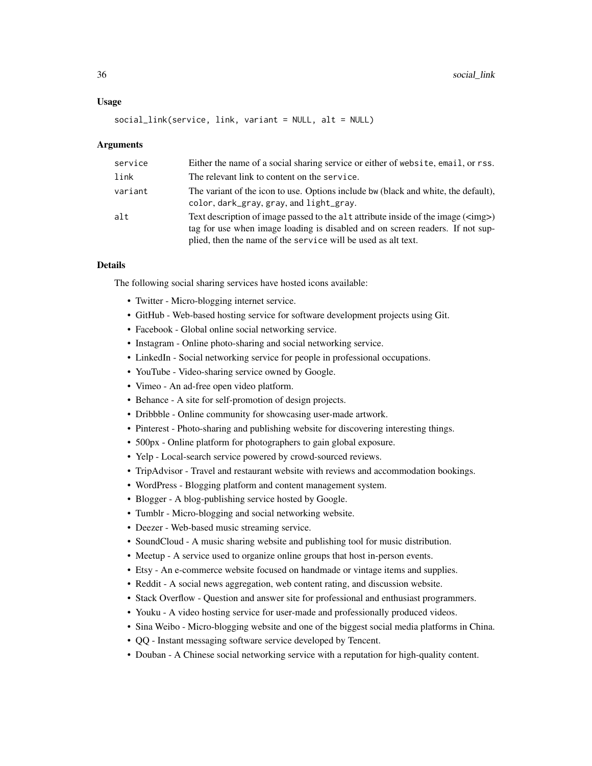#### Usage

```
social_link(service, link, variant = NULL, alt = NULL)
```
#### Arguments

| service | Either the name of a social sharing service or either of website, email, or rss.                                                                                                                                                       |
|---------|----------------------------------------------------------------------------------------------------------------------------------------------------------------------------------------------------------------------------------------|
| link    | The relevant link to content on the service.                                                                                                                                                                                           |
| variant | The variant of the icon to use. Options include bw (black and white, the default),<br>color, dark_gray, gray, and light_gray.                                                                                                          |
| alt     | Text description of image passed to the alt attribute inside of the image ( <img/> )<br>tag for use when image loading is disabled and on screen readers. If not sup-<br>plied, then the name of the service will be used as alt text. |

#### Details

The following social sharing services have hosted icons available:

- Twitter Micro-blogging internet service.
- GitHub Web-based hosting service for software development projects using Git.
- Facebook Global online social networking service.
- Instagram Online photo-sharing and social networking service.
- LinkedIn Social networking service for people in professional occupations.
- YouTube Video-sharing service owned by Google.
- Vimeo An ad-free open video platform.
- Behance A site for self-promotion of design projects.
- Dribbble Online community for showcasing user-made artwork.
- Pinterest Photo-sharing and publishing website for discovering interesting things.
- 500px Online platform for photographers to gain global exposure.
- Yelp Local-search service powered by crowd-sourced reviews.
- TripAdvisor Travel and restaurant website with reviews and accommodation bookings.
- WordPress Blogging platform and content management system.
- Blogger A blog-publishing service hosted by Google.
- Tumblr Micro-blogging and social networking website.
- Deezer Web-based music streaming service.
- SoundCloud A music sharing website and publishing tool for music distribution.
- Meetup A service used to organize online groups that host in-person events.
- Etsy An e-commerce website focused on handmade or vintage items and supplies.
- Reddit A social news aggregation, web content rating, and discussion website.
- Stack Overflow Question and answer site for professional and enthusiast programmers.
- Youku A video hosting service for user-made and professionally produced videos.
- Sina Weibo Micro-blogging website and one of the biggest social media platforms in China.
- QQ Instant messaging software service developed by Tencent.
- Douban A Chinese social networking service with a reputation for high-quality content.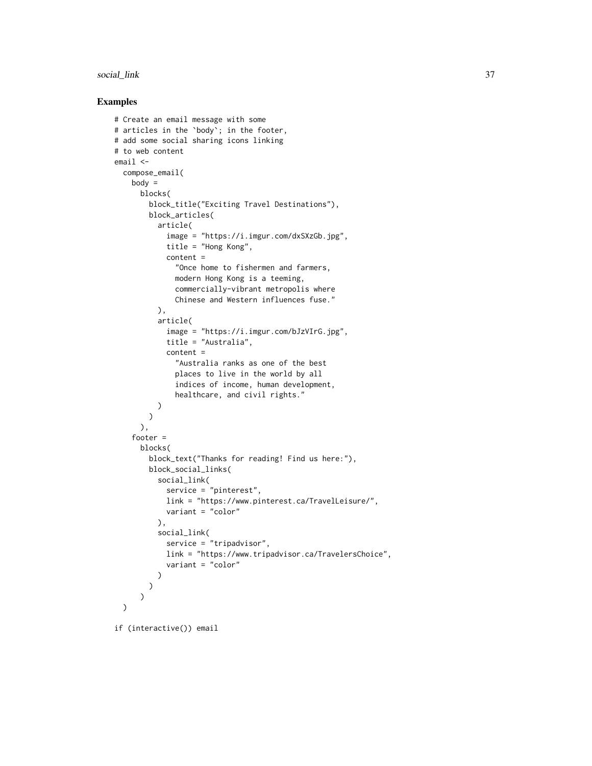#### social\_link 37

```
# Create an email message with some
# articles in the `body`; in the footer,
# add some social sharing icons linking
# to web content
email <-
  compose_email(
   body =
      blocks(
        block_title("Exciting Travel Destinations"),
        block_articles(
          article(
            image = "https://i.imgur.com/dxSXzGb.jpg",
            title = "Hong Kong",
            content =
              "Once home to fishermen and farmers,
              modern Hong Kong is a teeming,
              commercially-vibrant metropolis where
              Chinese and Western influences fuse."
          ),
          article(
            image = "https://i.imgur.com/bJzVIrG.jpg",
            title = "Australia",
            content =
              "Australia ranks as one of the best
              places to live in the world by all
              indices of income, human development,
              healthcare, and civil rights."
          )
        )
      ),
    footer =
      blocks(
        block_text("Thanks for reading! Find us here:"),
        block_social_links(
          social_link(
            service = "pinterest",
            link = "https://www.pinterest.ca/TravelLeisure/",
            variant = "color"
          ),
          social_link(
            service = "tripadvisor",
            link = "https://www.tripadvisor.ca/TravelersChoice",
            variant = "color"
         )
        )
      )
  \mathcal{L}if (interactive()) email
```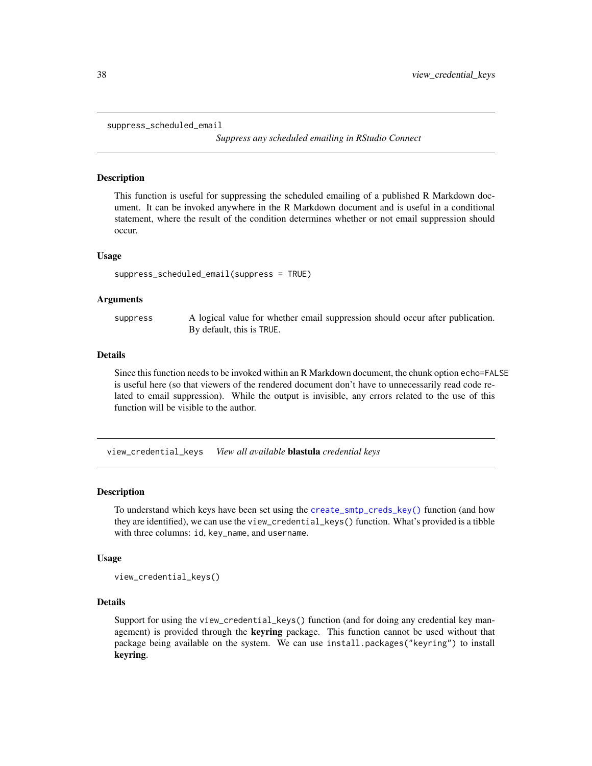<span id="page-37-0"></span>suppress\_scheduled\_email

*Suppress any scheduled emailing in RStudio Connect*

#### Description

This function is useful for suppressing the scheduled emailing of a published R Markdown document. It can be invoked anywhere in the R Markdown document and is useful in a conditional statement, where the result of the condition determines whether or not email suppression should occur.

#### Usage

suppress\_scheduled\_email(suppress = TRUE)

#### **Arguments**

suppress A logical value for whether email suppression should occur after publication. By default, this is TRUE.

#### Details

Since this function needs to be invoked within an R Markdown document, the chunk option echo=FALSE is useful here (so that viewers of the rendered document don't have to unnecessarily read code related to email suppression). While the output is invisible, any errors related to the use of this function will be visible to the author.

<span id="page-37-1"></span>view\_credential\_keys *View all available* blastula *credential keys*

#### Description

To understand which keys have been set using the [create\\_smtp\\_creds\\_key\(\)](#page-22-1) function (and how they are identified), we can use the view\_credential\_keys() function. What's provided is a tibble with three columns: id, key\_name, and username.

#### Usage

view\_credential\_keys()

#### Details

Support for using the view\_credential\_keys() function (and for doing any credential key management) is provided through the keyring package. This function cannot be used without that package being available on the system. We can use install.packages("keyring") to install keyring.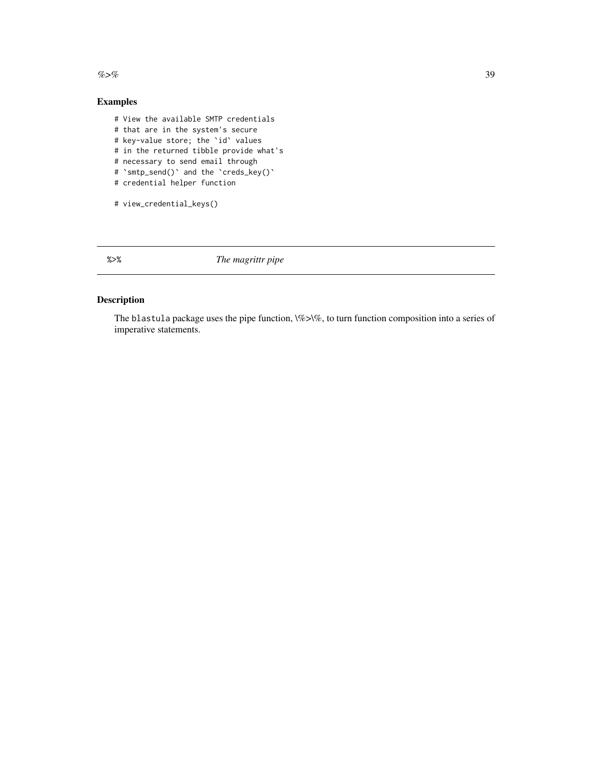<span id="page-38-0"></span> $\%$  >% 39

# Examples

- # View the available SMTP credentials # that are in the system's secure # key-value store; the `id` values # in the returned tibble provide what's # necessary to send email through # 'smtp\_send()' and the 'creds\_key()'
- # credential helper function

```
# view_credential_keys()
```
%>% *The magrittr pipe*

# Description

The blastula package uses the pipe function,  $\%$  > $\%$ , to turn function composition into a series of imperative statements.